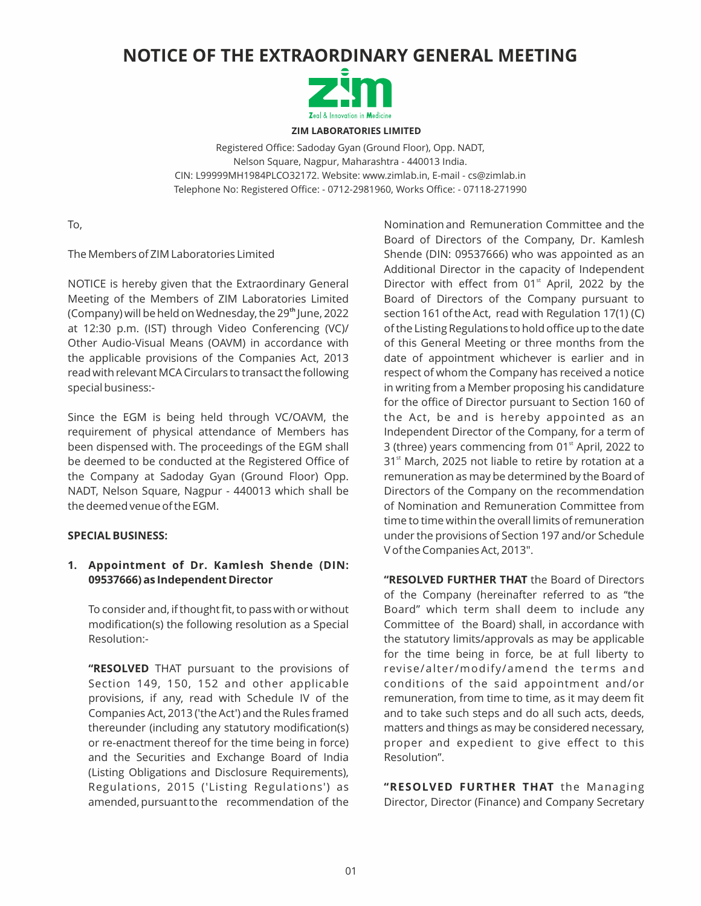# **NOTICE OF THE EXTRAORDINARY GENERAL MEETING**



**ZIM LABORATORIES LIMITED**

Registered Office: Sadoday Gyan (Ground Floor), Opp. NADT, Nelson Square, Nagpur, Maharashtra - 440013 India. CIN: L99999MH1984PLCO32172. Website: www.zimlab.in, E-mail - cs@zimlab.in Telephone No: Registered Office: - 0712-2981960, Works Office: - 07118-271990

To,

The Members of ZIM Laboratories Limited

NOTICE is hereby given that the Extraordinary General Meeting of the Members of ZIM Laboratories Limited (Company) will be held on Wednesday, the 29<sup>th</sup> June, 2022 at 12:30 p.m. (IST) through Video Conferencing (VC)/ Other Audio-Visual Means (OAVM) in accordance with the applicable provisions of the Companies Act, 2013 read with relevant MCA Circulars to transact the following special business:-

Since the EGM is being held through VC/OAVM, the requirement of physical attendance of Members has been dispensed with. The proceedings of the EGM shall be deemed to be conducted at the Registered Office of the Company at Sadoday Gyan (Ground Floor) Opp. NADT, Nelson Square, Nagpur - 440013 which shall be the deemed venue of the EGM.

#### **SPECIAL BUSINESS:**

# **1. Appointment of Dr. Kamlesh Shende (DIN: 09537666) as Independent Director**

To consider and, if thought fit, to pass with or without modification(s) the following resolution as a Special Resolution:-

**"RESOLVED** THAT pursuant to the provisions of Section 149, 150, 152 and other applicable provisions, if any, read with Schedule IV of the Companies Act, 2013 ('the Act') and the Rules framed thereunder (including any statutory modification(s) or re-enactment thereof for the time being in force) and the Securities and Exchange Board of India (Listing Obligations and Disclosure Requirements), Regulations, 2015 ('Listing Regulations') as amended, pursuant to the recommendation of the

Nomination and Remuneration Committee and the Board of Directors of the Company, Dr. Kamlesh Shende (DIN: 09537666) who was appointed as an Additional Director in the capacity of Independent Director with effect from  $01<sup>st</sup>$  April, 2022 by the Board of Directors of the Company pursuant to section 161 of the Act, read with Regulation 17(1) (C) of the Listing Regulations to hold office up to the date of this General Meeting or three months from the date of appointment whichever is earlier and in respect of whom the Company has received a notice in writing from a Member proposing his candidature for the office of Director pursuant to Section 160 of the Act, be and is hereby appointed as an Independent Director of the Company, for a term of 3 (three) years commencing from  $01<sup>st</sup>$  April, 2022 to  $31<sup>st</sup>$  March, 2025 not liable to retire by rotation at a remuneration as may be determined by the Board of Directors of the Company on the recommendation of Nomination and Remuneration Committee from time to time within the overall limits of remuneration under the provisions of Section 197 and/or Schedule V of the Companies Act, 2013".

**"RESOLVED FURTHER THAT** the Board of Directors of the Company (hereinafter referred to as "the Board" which term shall deem to include any Committee of the Board) shall, in accordance with the statutory limits/approvals as may be applicable for the time being in force, be at full liberty to revise/alter/modify/amend the terms and conditions of the said appointment and/or remuneration, from time to time, as it may deem fit and to take such steps and do all such acts, deeds, matters and things as may be considered necessary, proper and expedient to give effect to this Resolution".

**"RESOLVED FURTHER THAT** the Managing Director, Director (Finance) and Company Secretary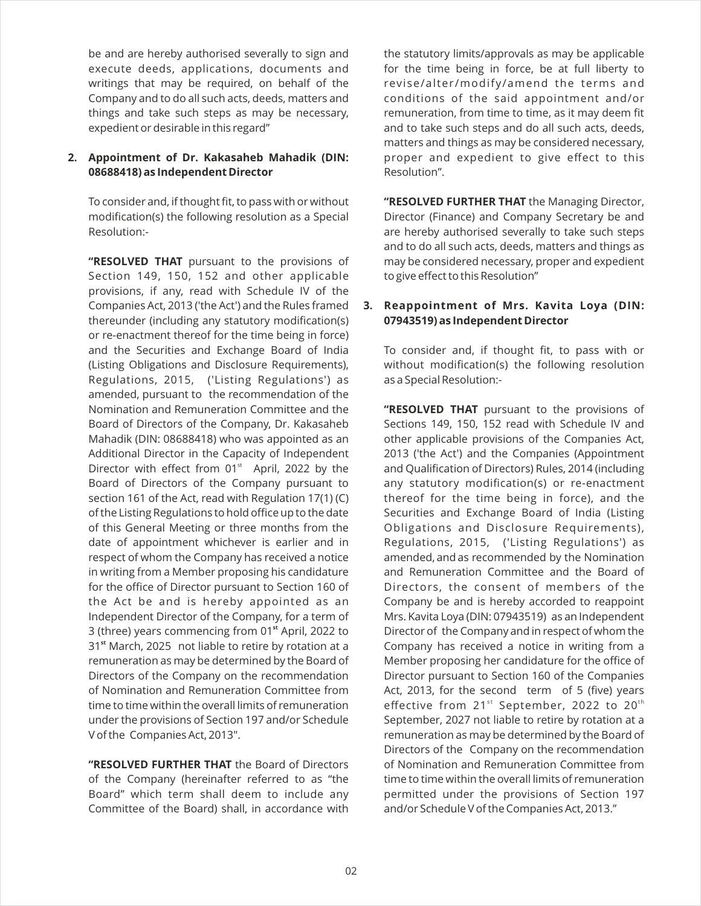be and are hereby authorised severally to sign and execute deeds, applications, documents and writings that may be required, on behalf of the Company and to do all such acts, deeds, matters and things and take such steps as may be necessary, expedient or desirable in this regard"

# **2. Appointment of Dr. Kakasaheb Mahadik (DIN: 08688418) as Independent Director**

To consider and, if thought fit, to pass with or without modification(s) the following resolution as a Special Resolution:-

**"RESOLVED THAT** pursuant to the provisions of Section 149, 150, 152 and other applicable provisions, if any, read with Schedule IV of the Companies Act, 2013 ('the Act') and the Rules framed thereunder (including any statutory modification(s) or re-enactment thereof for the time being in force) and the Securities and Exchange Board of India (Listing Obligations and Disclosure Requirements), Regulations, 2015, ('Listing Regulations') as amended, pursuant to the recommendation of the Nomination and Remuneration Committee and the Board of Directors of the Company, Dr. Kakasaheb Mahadik (DIN: 08688418) who was appointed as an Additional Director in the Capacity of Independent Director with effect from  $01<sup>st</sup>$  April, 2022 by the Board of Directors of the Company pursuant to section 161 of the Act, read with Regulation 17(1) (C) of the Listing Regulations to hold office up to the date of this General Meeting or three months from the date of appointment whichever is earlier and in respect of whom the Company has received a notice in writing from a Member proposing his candidature for the office of Director pursuant to Section 160 of the Act be and is hereby appointed as an Independent Director of the Company, for a term of 3 (three) years commencing from 01<sup>st</sup> April, 2022 to **st** 31 March, 2025 not liable to retire by rotation at a remuneration as may be determined by the Board of Directors of the Company on the recommendation of Nomination and Remuneration Committee from time to time within the overall limits of remuneration under the provisions of Section 197 and/or Schedule V of the Companies Act, 2013".

**"RESOLVED FURTHER THAT** the Board of Directors of the Company (hereinafter referred to as "the Board" which term shall deem to include any Committee of the Board) shall, in accordance with

the statutory limits/approvals as may be applicable for the time being in force, be at full liberty to revise/alter/modify/amend the terms and conditions of the said appointment and/or remuneration, from time to time, as it may deem fit and to take such steps and do all such acts, deeds, matters and things as may be considered necessary, proper and expedient to give effect to this Resolution".

**"RESOLVED FURTHER THAT** the Managing Director, Director (Finance) and Company Secretary be and are hereby authorised severally to take such steps and to do all such acts, deeds, matters and things as may be considered necessary, proper and expedient to give effect to this Resolution"

# **3. Reappointment of Mrs. Kavita Loya (DIN: 07943519) as Independent Director**

To consider and, if thought fit, to pass with or without modification(s) the following resolution as a Special Resolution:-

**"RESOLVED THAT** pursuant to the provisions of Sections 149, 150, 152 read with Schedule IV and other applicable provisions of the Companies Act, 2013 ('the Act') and the Companies (Appointment and Qualification of Directors) Rules, 2014 (including any statutory modification(s) or re-enactment thereof for the time being in force), and the Securities and Exchange Board of India (Listing Obligations and Disclosure Requirements), Regulations, 2015, ('Listing Regulations') as amended, and as recommended by the Nomination and Remuneration Committee and the Board of Directors, the consent of members of the Company be and is hereby accorded to reappoint Mrs. Kavita Loya (DIN: 07943519) as an Independent Director of the Company and in respect of whom the Company has received a notice in writing from a Member proposing her candidature for the office of Director pursuant to Section 160 of the Companies Act, 2013, for the second term of 5 (five) years effective from 21 $^{\rm st}$  September, 2022 to 20 $^{\rm th}$ September, 2027 not liable to retire by rotation at a remuneration as may be determined by the Board of Directors of the Company on the recommendation of Nomination and Remuneration Committee from time to time within the overall limits of remuneration permitted under the provisions of Section 197 and/or Schedule V of the Companies Act, 2013."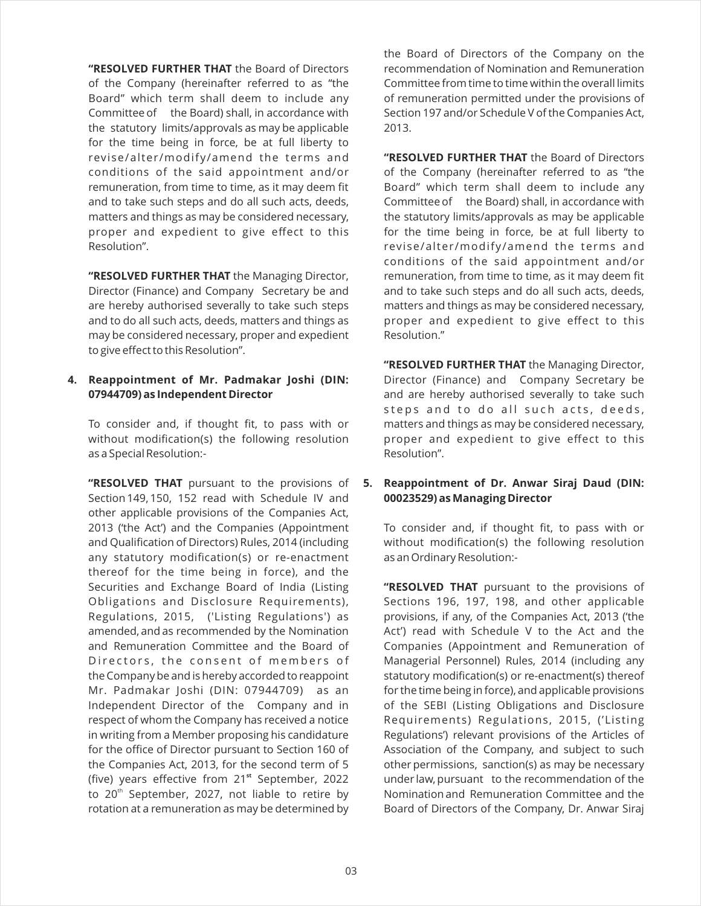**"RESOLVED FURTHER THAT** the Board of Directors of the Company (hereinafter referred to as "the Board" which term shall deem to include any Committee of the Board) shall, in accordance with the statutory limits/approvals as may be applicable for the time being in force, be at full liberty to revise/alter/modify/amend the terms and conditions of the said appointment and/or remuneration, from time to time, as it may deem fit and to take such steps and do all such acts, deeds, matters and things as may be considered necessary, proper and expedient to give effect to this Resolution".

**"RESOLVED FURTHER THAT** the Managing Director, Director (Finance) and Company Secretary be and are hereby authorised severally to take such steps and to do all such acts, deeds, matters and things as may be considered necessary, proper and expedient to give effect to this Resolution".

# **4. Reappointment of Mr. Padmakar Joshi (DIN: 07944709) as Independent Director**

To consider and, if thought fit, to pass with or without modification(s) the following resolution as a Special Resolution:-

**"RESOLVED THAT** pursuant to the provisions of Section 149, 150, 152 read with Schedule IV and other applicable provisions of the Companies Act, 2013 ('the Act') and the Companies (Appointment and Qualification of Directors) Rules, 2014 (including any statutory modification(s) or re-enactment thereof for the time being in force), and the Securities and Exchange Board of India (Listing Obligations and Disclosure Requirements), Regulations, 2015, ('Listing Regulations') as amended, and as recommended by the Nomination and Remuneration Committee and the Board of Directors, the consent of members of the Company be and is hereby accorded to reappoint Mr. Padmakar Joshi (DIN: 07944709) as an Independent Director of the Company and in respect of whom the Company has received a notice in writing from a Member proposing his candidature for the office of Director pursuant to Section 160 of the Companies Act, 2013, for the second term of 5 (five) years effective from 21<sup>st</sup> September, 2022 to 20<sup>th</sup> September, 2027, not liable to retire by rotation at a remuneration as may be determined by

the Board of Directors of the Company on the recommendation of Nomination and Remuneration Committee from time to time within the overall limits of remuneration permitted under the provisions of Section 197 and/or Schedule V of the Companies Act, 2013.

**"RESOLVED FURTHER THAT** the Board of Directors of the Company (hereinafter referred to as "the Board" which term shall deem to include any Committee of the Board) shall, in accordance with the statutory limits/approvals as may be applicable for the time being in force, be at full liberty to revise/alter/modify/amend the terms and conditions of the said appointment and/or remuneration, from time to time, as it may deem fit and to take such steps and do all such acts, deeds, matters and things as may be considered necessary, proper and expedient to give effect to this Resolution."

**"RESOLVED FURTHER THAT** the Managing Director, Director (Finance) and Company Secretary be and are hereby authorised severally to take such steps and to do all such acts, deeds, matters and things as may be considered necessary, proper and expedient to give effect to this Resolution".

# **5. Reappointment of Dr. Anwar Siraj Daud (DIN: 00023529) as Managing Director**

To consider and, if thought fit, to pass with or without modification(s) the following resolution as an Ordinary Resolution:-

**"RESOLVED THAT** pursuant to the provisions of Sections 196, 197, 198, and other applicable provisions, if any, of the Companies Act, 2013 ('the Act') read with Schedule V to the Act and the Companies (Appointment and Remuneration of Managerial Personnel) Rules, 2014 (including any statutory modification(s) or re-enactment(s) thereof for the time being in force), and applicable provisions of the SEBI (Listing Obligations and Disclosure Requirements) Regulations, 2015, ('Listing Regulations') relevant provisions of the Articles of Association of the Company, and subject to such other permissions, sanction(s) as may be necessary under law, pursuant to the recommendation of the Nomination and Remuneration Committee and the Board of Directors of the Company, Dr. Anwar Siraj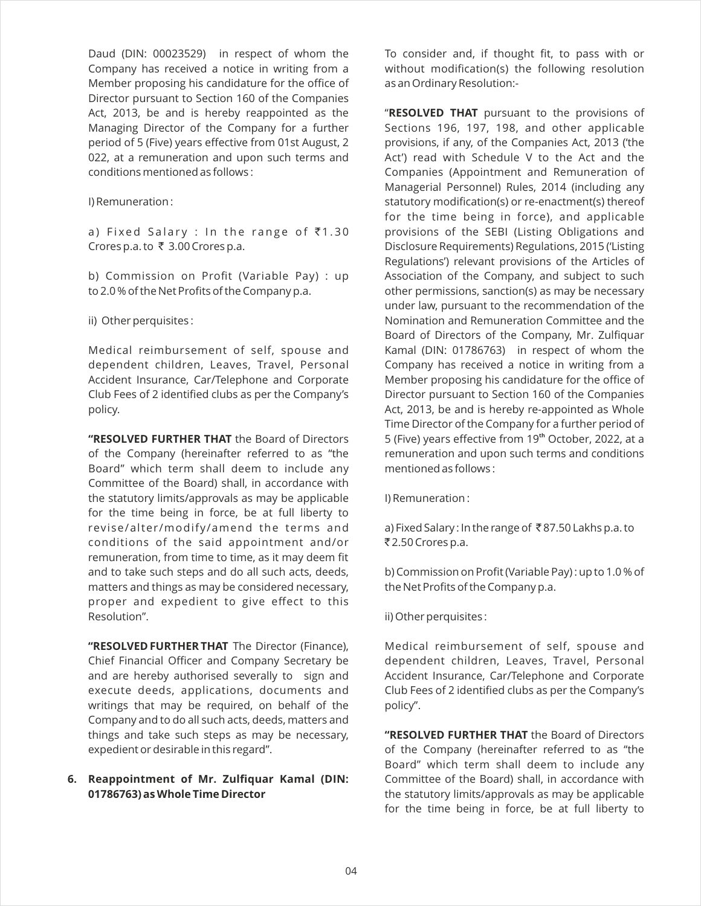Daud (DIN: 00023529) in respect of whom the Company has received a notice in writing from a Member proposing his candidature for the office of Director pursuant to Section 160 of the Companies Act, 2013, be and is hereby reappointed as the Managing Director of the Company for a further period of 5 (Five) years effective from 01st August, 2 022, at a remuneration and upon such terms and conditions mentioned as follows :

#### I) Remuneration :

a) Fixed Salary : In the range of  $\bar{z}$ 1.30 Crores p.a. to  $\bar{\tau}$  3.00 Crores p.a.

b) Commission on Profit (Variable Pay) : up to 2.0 % of the Net Profits of the Company p.a.

ii) Other perquisites :

Medical reimbursement of self, spouse and dependent children, Leaves, Travel, Personal Accident Insurance, Car/Telephone and Corporate Club Fees of 2 identified clubs as per the Company's policy.

**"RESOLVED FURTHER THAT** the Board of Directors of the Company (hereinafter referred to as "the Board" which term shall deem to include any Committee of the Board) shall, in accordance with the statutory limits/approvals as may be applicable for the time being in force, be at full liberty to revise/alter/modify/amend the terms and conditions of the said appointment and/or remuneration, from time to time, as it may deem fit and to take such steps and do all such acts, deeds, matters and things as may be considered necessary, proper and expedient to give effect to this Resolution".

**"RESOLVED FURTHER THAT** The Director (Finance), Chief Financial Officer and Company Secretary be and are hereby authorised severally to sign and execute deeds, applications, documents and writings that may be required, on behalf of the Company and to do all such acts, deeds, matters and things and take such steps as may be necessary, expedient or desirable in this regard".

# **6. Reappointment of Mr. Zulfiquar Kamal (DIN: 01786763) as Whole Time Director**

To consider and, if thought fit, to pass with or without modification(s) the following resolution as an Ordinary Resolution:-

"**RESOLVED THAT** pursuant to the provisions of Sections 196, 197, 198, and other applicable provisions, if any, of the Companies Act, 2013 ('the Act') read with Schedule V to the Act and the Companies (Appointment and Remuneration of Managerial Personnel) Rules, 2014 (including any statutory modification(s) or re-enactment(s) thereof for the time being in force), and applicable provisions of the SEBI (Listing Obligations and Disclosure Requirements) Regulations, 2015 ('Listing Regulations') relevant provisions of the Articles of Association of the Company, and subject to such other permissions, sanction(s) as may be necessary under law, pursuant to the recommendation of the Nomination and Remuneration Committee and the Board of Directors of the Company, Mr. Zulfiquar Kamal (DIN: 01786763) in respect of whom the Company has received a notice in writing from a Member proposing his candidature for the office of Director pursuant to Section 160 of the Companies Act, 2013, be and is hereby re-appointed as Whole Time Director of the Company for a further period of 5 (Five) years effective from 19<sup>th</sup> October, 2022, at a remuneration and upon such terms and conditions mentioned as follows :

I) Remuneration :

a) Fixed Salary : In the range of ₹87.50 Lakhs p.a. to ₹2.50 Crores p.a.

b) Commission on Profit (Variable Pay) : up to 1.0 % of the Net Profits of the Company p.a.

ii) Other perquisites :

Medical reimbursement of self, spouse and dependent children, Leaves, Travel, Personal Accident Insurance, Car/Telephone and Corporate Club Fees of 2 identified clubs as per the Company's policy".

**"RESOLVED FURTHER THAT** the Board of Directors of the Company (hereinafter referred to as "the Board" which term shall deem to include any Committee of the Board) shall, in accordance with the statutory limits/approvals as may be applicable for the time being in force, be at full liberty to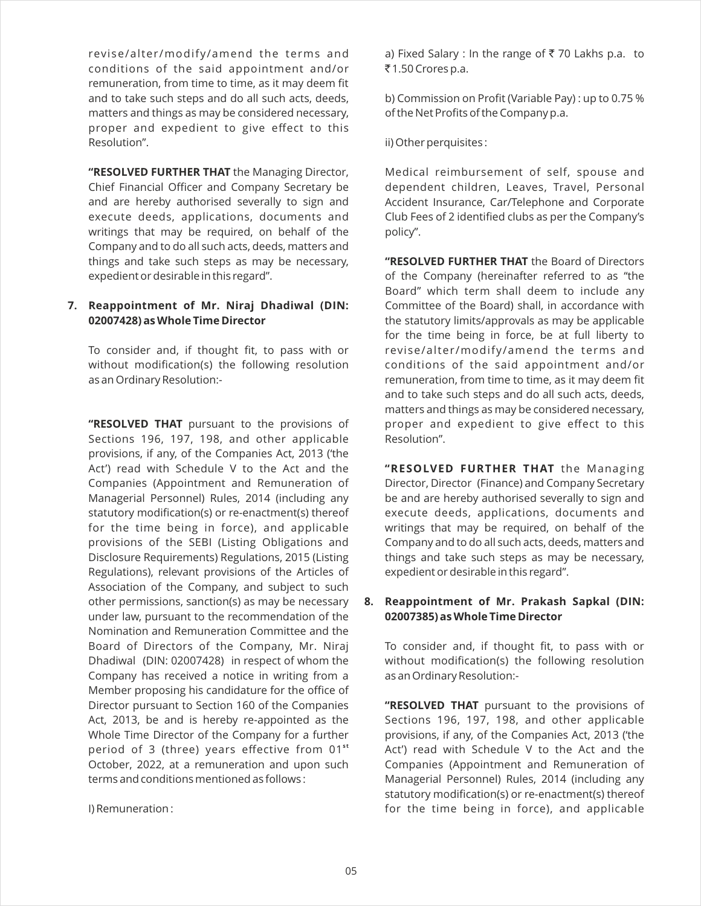revise/alter/modify/amend the terms and conditions of the said appointment and/or remuneration, from time to time, as it may deem fit and to take such steps and do all such acts, deeds, matters and things as may be considered necessary, proper and expedient to give effect to this Resolution".

**"RESOLVED FURTHER THAT** the Managing Director, Chief Financial Officer and Company Secretary be and are hereby authorised severally to sign and execute deeds, applications, documents and writings that may be required, on behalf of the Company and to do all such acts, deeds, matters and things and take such steps as may be necessary, expedient or desirable in this regard".

# **7. Reappointment of Mr. Niraj Dhadiwal (DIN: 02007428) as Whole Time Director**

To consider and, if thought fit, to pass with or without modification(s) the following resolution as an Ordinary Resolution:-

**"RESOLVED THAT** pursuant to the provisions of Sections 196, 197, 198, and other applicable provisions, if any, of the Companies Act, 2013 ('the Act') read with Schedule V to the Act and the Companies (Appointment and Remuneration of Managerial Personnel) Rules, 2014 (including any statutory modification(s) or re-enactment(s) thereof for the time being in force), and applicable provisions of the SEBI (Listing Obligations and Disclosure Requirements) Regulations, 2015 (Listing Regulations), relevant provisions of the Articles of Association of the Company, and subject to such other permissions, sanction(s) as may be necessary under law, pursuant to the recommendation of the Nomination and Remuneration Committee and the Board of Directors of the Company, Mr. Niraj Dhadiwal (DIN: 02007428) in respect of whom the Company has received a notice in writing from a Member proposing his candidature for the office of Director pursuant to Section 160 of the Companies Act, 2013, be and is hereby re-appointed as the Whole Time Director of the Company for a further period of 3 (three) years effective from 01<sup>st</sup> October, 2022, at a remuneration and upon such terms and conditions mentioned as follows :

I) Remuneration :

a) Fixed Salary : In the range of ₹70 Lakhs p.a. to ₹1.50 Crores p.a.

b) Commission on Profit (Variable Pay) : up to 0.75 % of the Net Profits of the Company p.a.

ii) Other perquisites :

Medical reimbursement of self, spouse and dependent children, Leaves, Travel, Personal Accident Insurance, Car/Telephone and Corporate Club Fees of 2 identified clubs as per the Company's policy".

**"RESOLVED FURTHER THAT** the Board of Directors of the Company (hereinafter referred to as "the Board" which term shall deem to include any Committee of the Board) shall, in accordance with the statutory limits/approvals as may be applicable for the time being in force, be at full liberty to revise/alter /modify/amend the terms and conditions of the said appointment and/or remuneration, from time to time, as it may deem fit and to take such steps and do all such acts, deeds, matters and things as may be considered necessary, proper and expedient to give effect to this Resolution".

**"RESOLVED FURTHER THAT** the Managing Director, Director (Finance) and Company Secretary be and are hereby authorised severally to sign and execute deeds, applications, documents and writings that may be required, on behalf of the Company and to do all such acts, deeds, matters and things and take such steps as may be necessary, expedient or desirable in this regard".

# **8. Reappointment of Mr. Prakash Sapkal (DIN: 02007385) as Whole Time Director**

To consider and, if thought fit, to pass with or without modification(s) the following resolution as an Ordinary Resolution:-

**"RESOLVED THAT** pursuant to the provisions of Sections 196, 197, 198, and other applicable provisions, if any, of the Companies Act, 2013 ('the Act') read with Schedule V to the Act and the Companies (Appointment and Remuneration of Managerial Personnel) Rules, 2014 (including any statutory modification(s) or re-enactment(s) thereof for the time being in force), and applicable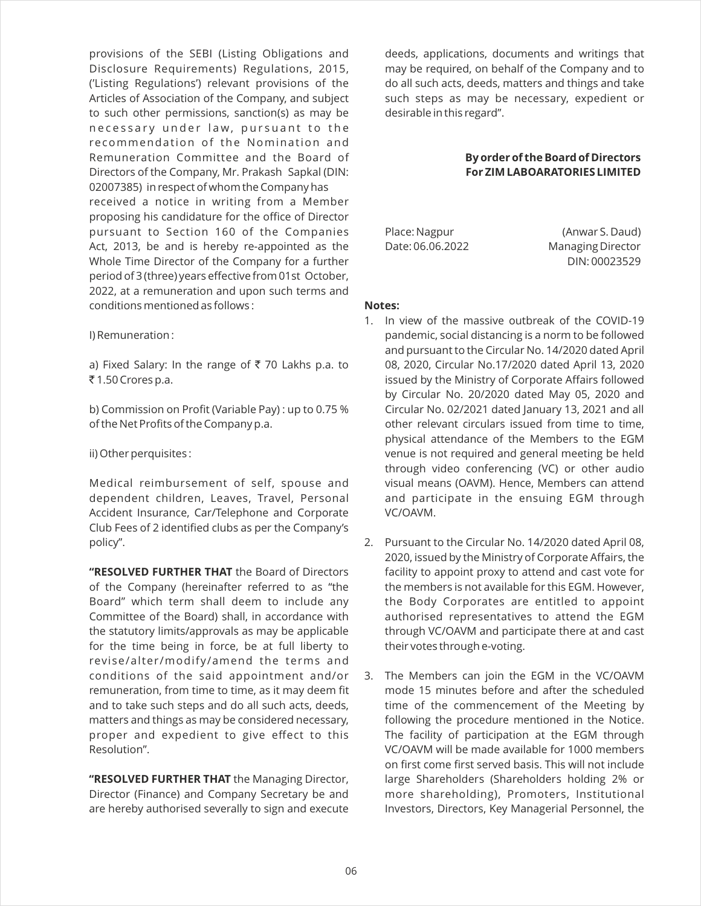provisions of the SEBI (Listing Obligations and Disclosure Requirements) Regulations, 2015, ('Listing Regulations') relevant provisions of the Articles of Association of the Company, and subject to such other permissions, sanction(s) as may be necessary under law, pursuant to the recommendation of the Nomination and Remuneration Committee and the Board of Directors of the Company, Mr. Prakash Sapkal (DIN: 02007385) in respect of whom the Company has received a notice in writing from a Member proposing his candidature for the office of Director pursuant to Section 160 of the Companies Act, 2013, be and is hereby re-appointed as the Whole Time Director of the Company for a further period of 3 (three) years effective from 01st October, 2022, at a remuneration and upon such terms and conditions mentioned as follows :

I) Remuneration :

a) Fixed Salary: In the range of ₹70 Lakhs p.a. to ₹1.50 Crores p.a.

b) Commission on Profit (Variable Pay) : up to 0.75 % of the Net Profits of the Company p.a.

ii) Other perquisites :

Medical reimbursement of self, spouse and dependent children, Leaves, Travel, Personal Accident Insurance, Car/Telephone and Corporate Club Fees of 2 identified clubs as per the Company's policy".

**"RESOLVED FURTHER THAT** the Board of Directors of the Company (hereinafter referred to as "the Board" which term shall deem to include any Committee of the Board) shall, in accordance with the statutory limits/approvals as may be applicable for the time being in force, be at full liberty to revise/alter/modify/amend the terms and conditions of the said appointment and/or remuneration, from time to time, as it may deem fit and to take such steps and do all such acts, deeds, matters and things as may be considered necessary, proper and expedient to give effect to this Resolution".

**"RESOLVED FURTHER THAT** the Managing Director, Director (Finance) and Company Secretary be and are hereby authorised severally to sign and execute deeds, applications, documents and writings that may be required, on behalf of the Company and to do all such acts, deeds, matters and things and take such steps as may be necessary, expedient or desirable in this regard".

# **By order of the Board of Directors For ZIM LABOARATORIES LIMITED**

Place: Nagpur (Anwar S. Daud) Date: 06.06.2022 Managing Director DIN: 00023529

#### **Notes:**

- 1. In view of the massive outbreak of the COVID-19 pandemic, social distancing is a norm to be followed and pursuant to the Circular No. 14/2020 dated April 08, 2020, Circular No.17/2020 dated April 13, 2020 issued by the Ministry of Corporate Affairs followed by Circular No. 20/2020 dated May 05, 2020 and Circular No. 02/2021 dated January 13, 2021 and all other relevant circulars issued from time to time, physical attendance of the Members to the EGM venue is not required and general meeting be held through video conferencing (VC) or other audio visual means (OAVM). Hence, Members can attend and participate in the ensuing EGM through VC/OAVM.
- 2. Pursuant to the Circular No. 14/2020 dated April 08, 2020, issued by the Ministry of Corporate Affairs, the facility to appoint proxy to attend and cast vote for the members is not available for this EGM. However, the Body Corporates are entitled to appoint authorised representatives to attend the EGM through VC/OAVM and participate there at and cast their votes through e-voting.
- 3. The Members can join the EGM in the VC/OAVM mode 15 minutes before and after the scheduled time of the commencement of the Meeting by following the procedure mentioned in the Notice. The facility of participation at the EGM through VC/OAVM will be made available for 1000 members on first come first served basis. This will not include large Shareholders (Shareholders holding 2% or more shareholding), Promoters, Institutional Investors, Directors, Key Managerial Personnel, the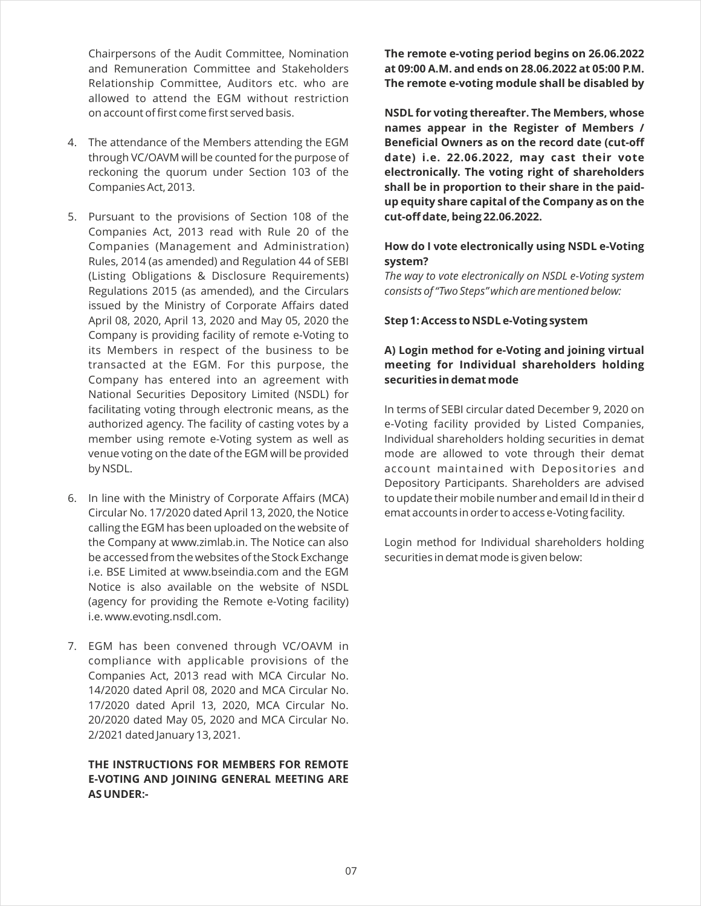Chairpersons of the Audit Committee, Nomination and Remuneration Committee and Stakeholders Relationship Committee, Auditors etc. who are allowed to attend the EGM without restriction on account of first come first served basis.

- 4. The attendance of the Members attending the EGM through VC/OAVM will be counted for the purpose of reckoning the quorum under Section 103 of the Companies Act, 2013.
- 5. Pursuant to the provisions of Section 108 of the Companies Act, 2013 read with Rule 20 of the Companies (Management and Administration) Rules, 2014 (as amended) and Regulation 44 of SEBI (Listing Obligations & Disclosure Requirements) Regulations 2015 (as amended), and the Circulars issued by the Ministry of Corporate Affairs dated April 08, 2020, April 13, 2020 and May 05, 2020 the Company is providing facility of remote e-Voting to its Members in respect of the business to be transacted at the EGM. For this purpose, the Company has entered into an agreement with National Securities Depository Limited (NSDL) for facilitating voting through electronic means, as the authorized agency. The facility of casting votes by a member using remote e-Voting system as well as venue voting on the date of the EGM will be provided by NSDL.
- 6. In line with the Ministry of Corporate Affairs (MCA) Circular No. 17/2020 dated April 13, 2020, the Notice calling the EGM has been uploaded on the website of the Company at www.zimlab.in. The Notice can also be accessed from the websites of the Stock Exchange i.e. BSE Limited at www.bseindia.com and the EGM Notice is also available on the website of NSDL (agency for providing the Remote e-Voting facility) i.e. www.evoting.nsdl.com.
- 7. EGM has been convened through VC/OAVM in compliance with applicable provisions of the Companies Act, 2013 read with MCA Circular No. 14/2020 dated April 08, 2020 and MCA Circular No. 17/2020 dated April 13, 2020, MCA Circular No. 20/2020 dated May 05, 2020 and MCA Circular No. 2/2021 dated January 13, 2021.

# **THE INSTRUCTIONS FOR MEMBERS FOR REMOTE E-VOTING AND JOINING GENERAL MEETING ARE AS UNDER:-**

**The remote e-voting period begins on 26.06.2022 at 09:00 A.M. and ends on 28.06.2022 at 05:00 P.M. The remote e-voting module shall be disabled by** 

**NSDL for voting thereafter. The Members, whose names appear in the Register of Members / Beneficial Owners as on the record date (cut-off date) i.e. 22.06.2022, may cast their vote electronically. The voting right of shareholders shall be in proportion to their share in the paidup equity share capital of the Company as on the cut-off date, being 22.06.2022.**

# **How do I vote electronically using NSDL e-Voting system?**

*The way to vote electronically on NSDL e-Voting system consists of "Two Steps" which are mentioned below:*

**Step 1: Access to NSDL e-Voting system**

# **A) Login method for e-Voting and joining virtual meeting for Individual shareholders holding securities in demat mode**

In terms of SEBI circular dated December 9, 2020 on e-Voting facility provided by Listed Companies, Individual shareholders holding securities in demat mode are allowed to vote through their demat account maintained with Depositories and Depository Participants. Shareholders are advised to update their mobile number and email Id in their d emat accounts in order to access e-Voting facility.

Login method for Individual shareholders holding securities in demat mode is given below: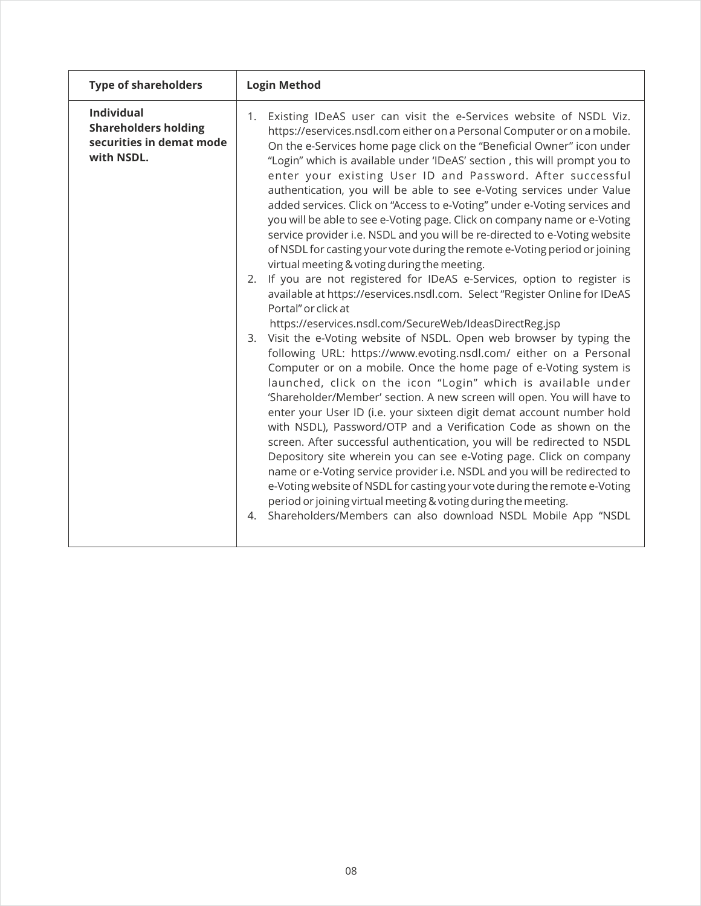| <b>Type of shareholders</b>                                                                | <b>Login Method</b>                                                                                                                                                                                                                                                                                                                                                                                                                                                                                                                                                                                                                                                                                                                                                                                                                                                                                                                                                                                                                                                                                                                                                                                                                                                                                                                                                                                                                                                                                                                                                                                                                                                                                                                                                                                                                                                                                                                                                                                                                    |  |  |
|--------------------------------------------------------------------------------------------|----------------------------------------------------------------------------------------------------------------------------------------------------------------------------------------------------------------------------------------------------------------------------------------------------------------------------------------------------------------------------------------------------------------------------------------------------------------------------------------------------------------------------------------------------------------------------------------------------------------------------------------------------------------------------------------------------------------------------------------------------------------------------------------------------------------------------------------------------------------------------------------------------------------------------------------------------------------------------------------------------------------------------------------------------------------------------------------------------------------------------------------------------------------------------------------------------------------------------------------------------------------------------------------------------------------------------------------------------------------------------------------------------------------------------------------------------------------------------------------------------------------------------------------------------------------------------------------------------------------------------------------------------------------------------------------------------------------------------------------------------------------------------------------------------------------------------------------------------------------------------------------------------------------------------------------------------------------------------------------------------------------------------------------|--|--|
| <b>Individual</b><br><b>Shareholders holding</b><br>securities in demat mode<br>with NSDL. | Existing IDeAS user can visit the e-Services website of NSDL Viz.<br>1.<br>https://eservices.nsdl.com either on a Personal Computer or on a mobile.<br>On the e-Services home page click on the "Beneficial Owner" icon under<br>"Login" which is available under 'IDeAS' section, this will prompt you to<br>enter your existing User ID and Password. After successful<br>authentication, you will be able to see e-Voting services under Value<br>added services. Click on "Access to e-Voting" under e-Voting services and<br>you will be able to see e-Voting page. Click on company name or e-Voting<br>service provider i.e. NSDL and you will be re-directed to e-Voting website<br>of NSDL for casting your vote during the remote e-Voting period or joining<br>virtual meeting & voting during the meeting.<br>If you are not registered for IDeAS e-Services, option to register is<br>2.<br>available at https://eservices.nsdl.com. Select "Register Online for IDeAS<br>Portal" or click at<br>https://eservices.nsdl.com/SecureWeb/IdeasDirectReg.jsp<br>Visit the e-Voting website of NSDL. Open web browser by typing the<br>3.<br>following URL: https://www.evoting.nsdl.com/ either on a Personal<br>Computer or on a mobile. Once the home page of e-Voting system is<br>launched, click on the icon "Login" which is available under<br>'Shareholder/Member' section. A new screen will open. You will have to<br>enter your User ID (i.e. your sixteen digit demat account number hold<br>with NSDL), Password/OTP and a Verification Code as shown on the<br>screen. After successful authentication, you will be redirected to NSDL<br>Depository site wherein you can see e-Voting page. Click on company<br>name or e-Voting service provider i.e. NSDL and you will be redirected to<br>e-Voting website of NSDL for casting your vote during the remote e-Voting<br>period or joining virtual meeting & voting during the meeting.<br>Shareholders/Members can also download NSDL Mobile App "NSDL<br>4. |  |  |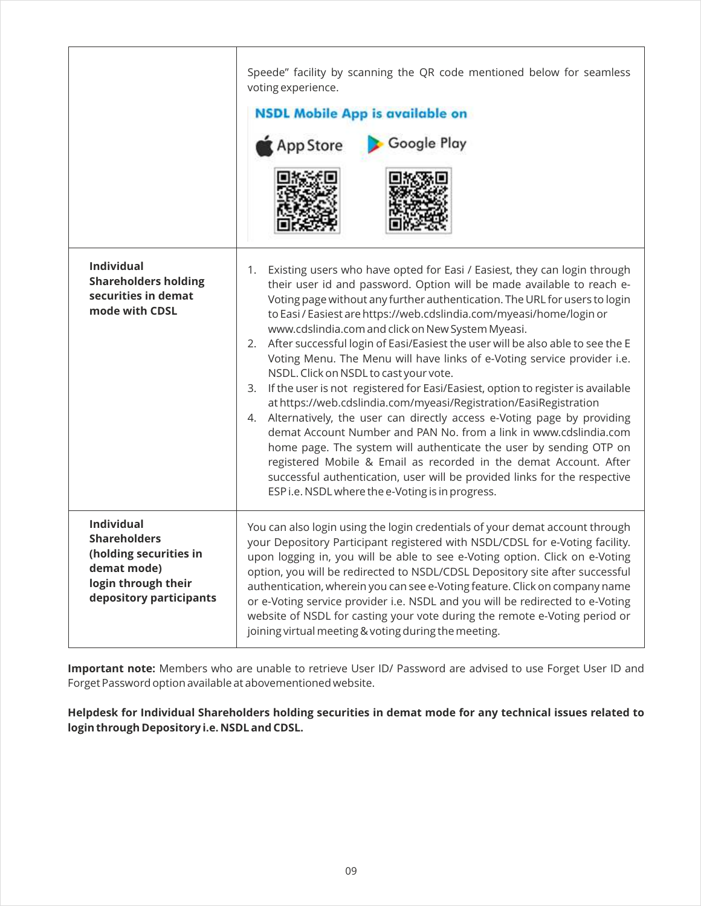|                                                                                                                                     | Speede" facility by scanning the QR code mentioned below for seamless<br>voting experience.<br><b>NSDL Mobile App is available on</b><br>Google Play<br>App Store                                                                                                                                                                                                                                                                                                                                                                                                                                                                                                                                                                                                                                                                                                                                                                                                                                                                                                                                                                                                           |
|-------------------------------------------------------------------------------------------------------------------------------------|-----------------------------------------------------------------------------------------------------------------------------------------------------------------------------------------------------------------------------------------------------------------------------------------------------------------------------------------------------------------------------------------------------------------------------------------------------------------------------------------------------------------------------------------------------------------------------------------------------------------------------------------------------------------------------------------------------------------------------------------------------------------------------------------------------------------------------------------------------------------------------------------------------------------------------------------------------------------------------------------------------------------------------------------------------------------------------------------------------------------------------------------------------------------------------|
| <b>Individual</b><br><b>Shareholders holding</b><br>securities in demat<br>mode with CDSL                                           | Existing users who have opted for Easi / Easiest, they can login through<br>1.<br>their user id and password. Option will be made available to reach e-<br>Voting page without any further authentication. The URL for users to login<br>to Easi / Easiest are https://web.cdslindia.com/myeasi/home/login or<br>www.cdslindia.com and click on New System Myeasi.<br>After successful login of Easi/Easiest the user will be also able to see the E<br>2.<br>Voting Menu. The Menu will have links of e-Voting service provider i.e.<br>NSDL. Click on NSDL to cast your vote.<br>If the user is not registered for Easi/Easiest, option to register is available<br>3.<br>at https://web.cdslindia.com/myeasi/Registration/EasiRegistration<br>4. Alternatively, the user can directly access e-Voting page by providing<br>demat Account Number and PAN No. from a link in www.cdslindia.com<br>home page. The system will authenticate the user by sending OTP on<br>registered Mobile & Email as recorded in the demat Account. After<br>successful authentication, user will be provided links for the respective<br>ESP i.e. NSDL where the e-Voting is in progress. |
| <b>Individual</b><br><b>Shareholders</b><br>(holding securities in<br>demat mode)<br>login through their<br>depository participants | You can also login using the login credentials of your demat account through<br>your Depository Participant registered with NSDL/CDSL for e-Voting facility.<br>upon logging in, you will be able to see e-Voting option. Click on e-Voting<br>option, you will be redirected to NSDL/CDSL Depository site after successful<br>authentication, wherein you can see e-Voting feature. Click on company name<br>or e-Voting service provider i.e. NSDL and you will be redirected to e-Voting<br>website of NSDL for casting your vote during the remote e-Voting period or<br>joining virtual meeting & voting during the meeting.                                                                                                                                                                                                                                                                                                                                                                                                                                                                                                                                           |

**Important note:** Members who are unable to retrieve User ID/ Password are advised to use Forget User ID and Forget Password option available at abovementioned website.

**Helpdesk for Individual Shareholders holding securities in demat mode for any technical issues related to login through Depository i.e. NSDL and CDSL.**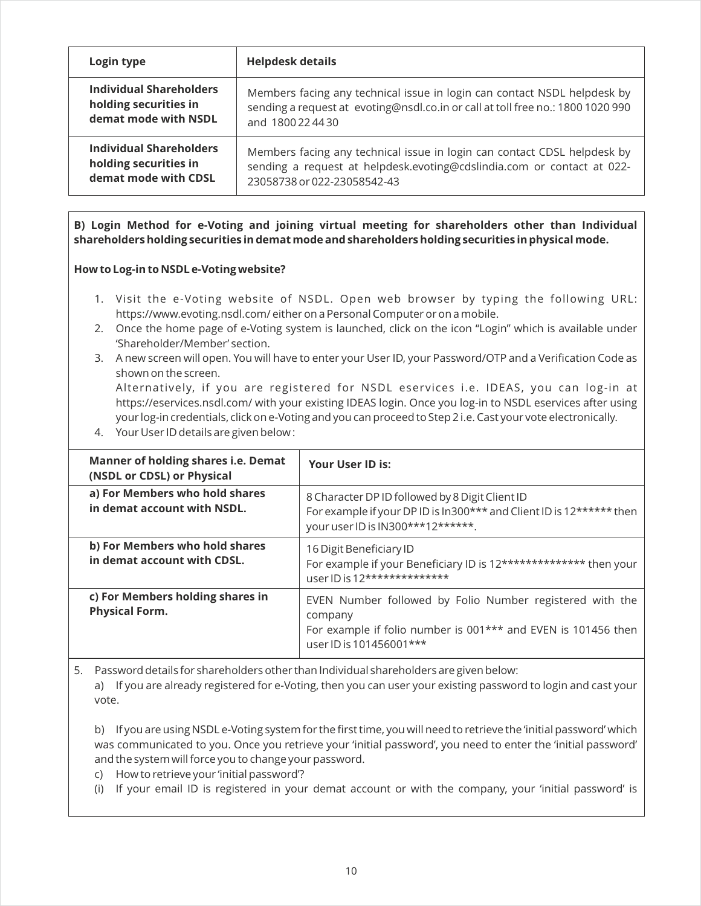| Login type                     | <b>Helpdesk details</b>                                                         |
|--------------------------------|---------------------------------------------------------------------------------|
| <b>Individual Shareholders</b> | Members facing any technical issue in login can contact NSDL helpdesk by        |
| holding securities in          | sending a request at evoting@nsdl.co.in or call at toll free no.: 1800 1020 990 |
| demat mode with NSDL           | and 1800 22 44 30                                                               |
| <b>Individual Shareholders</b> | Members facing any technical issue in login can contact CDSL helpdesk by        |
| holding securities in          | sending a request at helpdesk.evoting@cdslindia.com or contact at 022-          |
| demat mode with CDSL           | 23058738 or 022-23058542-43                                                     |

**B) Login Method for e-Voting and joining virtual meeting for shareholders other than Individual shareholders holding securities in demat mode and shareholders holding securities in physical mode.**

# **How to Log-in to NSDL e-Voting website?**

- 1. Visit the e-Voting website of NSDL. Open web browser by typing the following URL: https://www.evoting.nsdl.com/ either on a Personal Computer or on a mobile.
- 2. Once the home page of e-Voting system is launched, click on the icon "Login" which is available under 'Shareholder/Member' section.
- 3. A new screen will open. You will have to enter your User ID, your Password/OTP and a Verification Code as shown on the screen. Alternatively, if you are registered for NSDL eservices i.e. IDEAS, you can log-in at https://eservices.nsdl.com/ with your existing IDEAS login. Once you log-in to NSDL eservices after using

your log-in credentials, click on e-Voting and you can proceed to Step 2 i.e. Cast your vote electronically.

4. Your User ID details are given below :

| <b>Manner of holding shares i.e. Demat</b><br>(NSDL or CDSL) or Physical | <b>Your User ID is:</b>                                                                                                                                         |
|--------------------------------------------------------------------------|-----------------------------------------------------------------------------------------------------------------------------------------------------------------|
| a) For Members who hold shares<br>in demat account with NSDL.            | 8 Character DP ID followed by 8 Digit Client ID<br>For example if your DP ID is In300*** and Client ID is 12****** then<br>your user ID is IN300***12******.    |
| b) For Members who hold shares<br>in demat account with CDSL.            | 16 Digit Beneficiary ID<br>For example if your Beneficiary ID is 12************** then your<br>user ID is 12**************                                      |
| c) For Members holding shares in<br><b>Physical Form.</b>                | EVEN Number followed by Folio Number registered with the<br>company<br>For example if folio number is 001*** and EVEN is 101456 then<br>user ID is 101456001*** |

5. Password details for shareholders other than Individual shareholders are given below:

a) If you are already registered for e-Voting, then you can user your existing password to login and cast your vote.

b) If you are using NSDL e-Voting system for the first time, you will need to retrieve the 'initial password' which was communicated to you. Once you retrieve your 'initial password', you need to enter the 'initial password' and the system will force you to change your password.

- c) How to retrieve your 'initial password'?
- (i) If your email ID is registered in your demat account or with the company, your 'initial password' is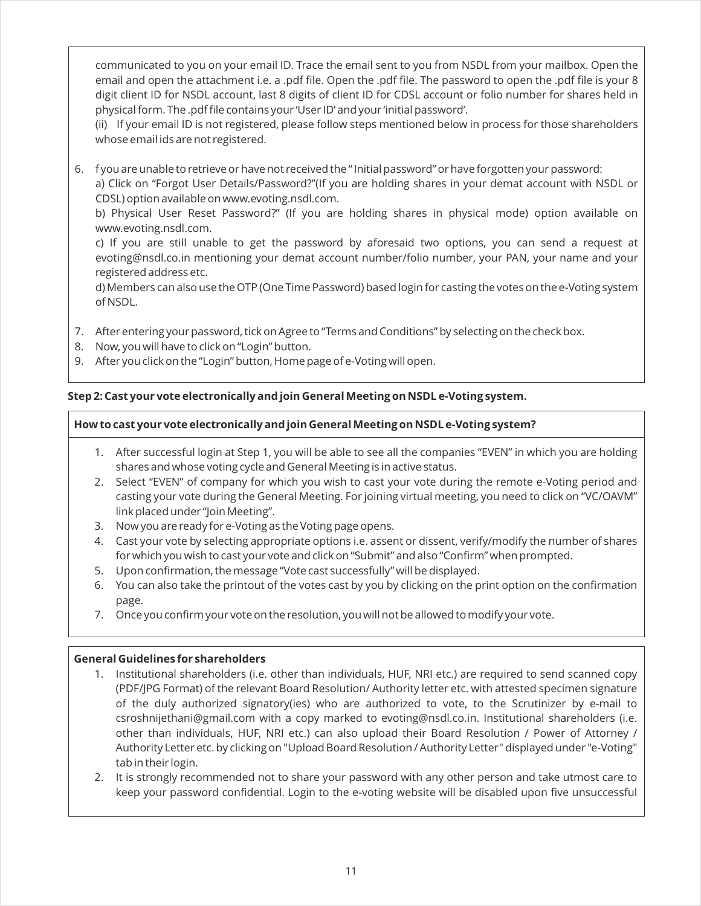communicated to you on your email ID. Trace the email sent to you from NSDL from your mailbox. Open the email and open the attachment i.e. a .pdf file. Open the .pdf file. The password to open the .pdf file is your 8 digit client ID for NSDL account, last 8 digits of client ID for CDSL account or folio number for shares held in physical form. The .pdf file contains your 'User ID' and your 'initial password'.

(ii) If your email ID is not registered, please follow steps mentioned below in process for those shareholders whose email ids are not registered.

6. f you are unable to retrieve or have not received the " Initial password" or have forgotten your password: a) Click on "Forgot User Details/Password?"(If you are holding shares in your demat account with NSDL or CDSL) option available on www.evoting.nsdl.com.

b) Physical User Reset Password?" (If you are holding shares in physical mode) option available on www.evoting.nsdl.com.

c) If you are still unable to get the password by aforesaid two options, you can send a request at evoting@nsdl.co.in mentioning your demat account number/folio number, your PAN, your name and your registered address etc.

d) Members can also use the OTP (One Time Password) based login for casting the votes on the e-Voting system of NSDL.

- 7. After entering your password, tick on Agree to "Terms and Conditions" by selecting on the check box.
- 8. Now, you will have to click on "Login" button.
- 9. After you click on the "Login" button, Home page of e-Voting will open.

# **Step 2: Cast your vote electronically and join General Meeting on NSDL e-Voting system.**

# **How to cast your vote electronically and join General Meeting on NSDL e-Voting system?**

- 1. After successful login at Step 1, you will be able to see all the companies "EVEN" in which you are holding shares and whose voting cycle and General Meeting is in active status.
- 2. Select "EVEN" of company for which you wish to cast your vote during the remote e-Voting period and casting your vote during the General Meeting. For joining virtual meeting, you need to click on "VC/OAVM" link placed under "Join Meeting".
- 3. Now you are ready for e-Voting as the Voting page opens.
- 4. Cast your vote by selecting appropriate options i.e. assent or dissent, verify/modify the number of shares for which you wish to cast your vote and click on "Submit" and also "Confirm" when prompted.
- 5. Upon confirmation, the message "Vote cast successfully" will be displayed.
- 6. You can also take the printout of the votes cast by you by clicking on the print option on the confirmation page.
- 7. Once you confirm your vote on the resolution, you will not be allowed to modify your vote.

# **General Guidelines for shareholders**

- 1. Institutional shareholders (i.e. other than individuals, HUF, NRI etc.) are required to send scanned copy (PDF/JPG Format) of the relevant Board Resolution/ Authority letter etc. with attested specimen signature of the duly authorized signatory(ies) who are authorized to vote, to the Scrutinizer by e-mail to csroshnijethani@gmail.com with a copy marked to evoting@nsdl.co.in. Institutional shareholders (i.e. other than individuals, HUF, NRI etc.) can also upload their Board Resolution / Power of Attorney / Authority Letter etc. by clicking on "Upload Board Resolution / Authority Letter" displayed under "e-Voting" tab in their login.
- 2. It is strongly recommended not to share your password with any other person and take utmost care to keep your password confidential. Login to the e-voting website will be disabled upon five unsuccessful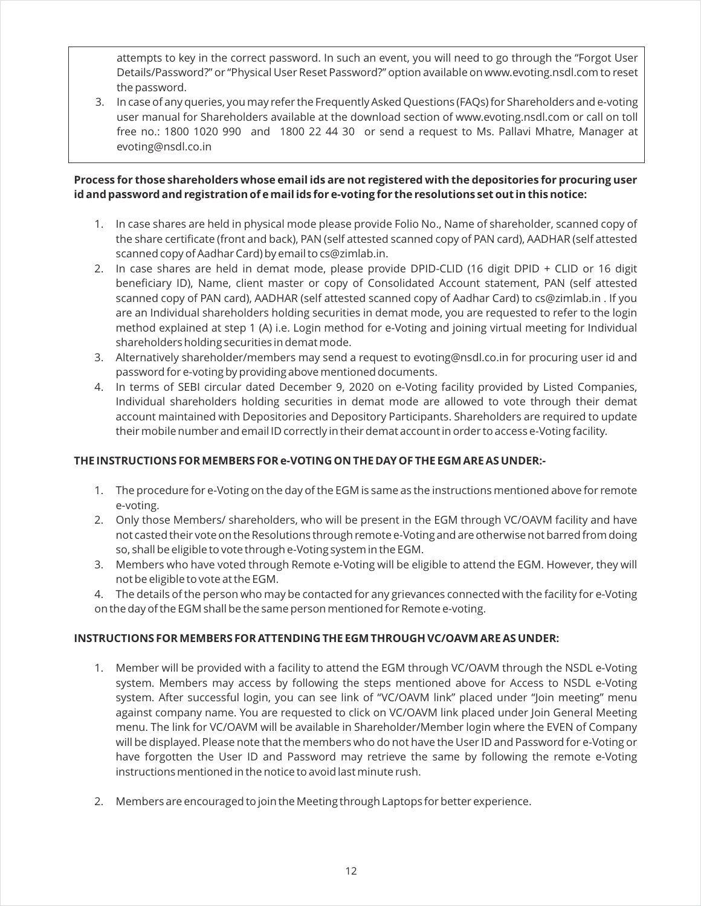attempts to key in the correct password. In such an event, you will need to go through the "Forgot User Details/Password?" or "Physical User Reset Password?" option available on www.evoting.nsdl.com to reset the password.

3. In case of any queries, you may refer the Frequently Asked Questions (FAQs) for Shareholders and e-voting user manual for Shareholders available at the download section of www.evoting.nsdl.com or call on toll free no.: 1800 1020 990 and 1800 22 44 30 or send a request to Ms. Pallavi Mhatre, Manager at evoting@nsdl.co.in

# **Process for those shareholders whose email ids are not registered with the depositories for procuring user id and password and registration of e mail ids for e-voting for the resolutions set out in this notice:**

- 1. In case shares are held in physical mode please provide Folio No., Name of shareholder, scanned copy of the share certificate (front and back), PAN (self attested scanned copy of PAN card), AADHAR (self attested scanned copy of Aadhar Card) by email to cs@zimlab.in.
- 2. In case shares are held in demat mode, please provide DPID-CLID (16 digit DPID + CLID or 16 digit beneficiary ID), Name, client master or copy of Consolidated Account statement, PAN (self attested scanned copy of PAN card), AADHAR (self attested scanned copy of Aadhar Card) to cs@zimlab.in . If you are an Individual shareholders holding securities in demat mode, you are requested to refer to the login method explained at step 1 (A) i.e. Login method for e-Voting and joining virtual meeting for Individual shareholders holding securities in demat mode.
- 3. Alternatively shareholder/members may send a request to evoting@nsdl.co.in for procuring user id and password for e-voting by providing above mentioned documents.
- 4. In terms of SEBI circular dated December 9, 2020 on e-Voting facility provided by Listed Companies, Individual shareholders holding securities in demat mode are allowed to vote through their demat account maintained with Depositories and Depository Participants. Shareholders are required to update their mobile number and email ID correctly in their demat account in order to access e-Voting facility.

# **THE INSTRUCTIONS FOR MEMBERS FOR e-VOTING ON THE DAY OF THE EGM ARE AS UNDER:-**

- 1. The procedure for e-Voting on the day of the EGM is same as the instructions mentioned above for remote e-voting.
- 2. Only those Members/ shareholders, who will be present in the EGM through VC/OAVM facility and have not casted their vote on the Resolutions through remote e-Voting and are otherwise not barred from doing so, shall be eligible to vote through e-Voting system in the EGM.
- 3. Members who have voted through Remote e-Voting will be eligible to attend the EGM. However, they will not be eligible to vote at the EGM.
- 4. The details of the person who may be contacted for any grievances connected with the facility for e-Voting on the day of the EGM shall be the same person mentioned for Remote e-voting.

# **INSTRUCTIONS FOR MEMBERS FOR ATTENDING THE EGM THROUGH VC/OAVM ARE AS UNDER:**

- 1. Member will be provided with a facility to attend the EGM through VC/OAVM through the NSDL e-Voting system. Members may access by following the steps mentioned above for Access to NSDL e-Voting system. After successful login, you can see link of "VC/OAVM link" placed under "Join meeting" menu against company name. You are requested to click on VC/OAVM link placed under Join General Meeting menu. The link for VC/OAVM will be available in Shareholder/Member login where the EVEN of Company will be displayed. Please note that the members who do not have the User ID and Password for e-Voting or have forgotten the User ID and Password may retrieve the same by following the remote e-Voting instructions mentioned in the notice to avoid last minute rush.
- 2. Members are encouraged to join the Meeting through Laptops for better experience.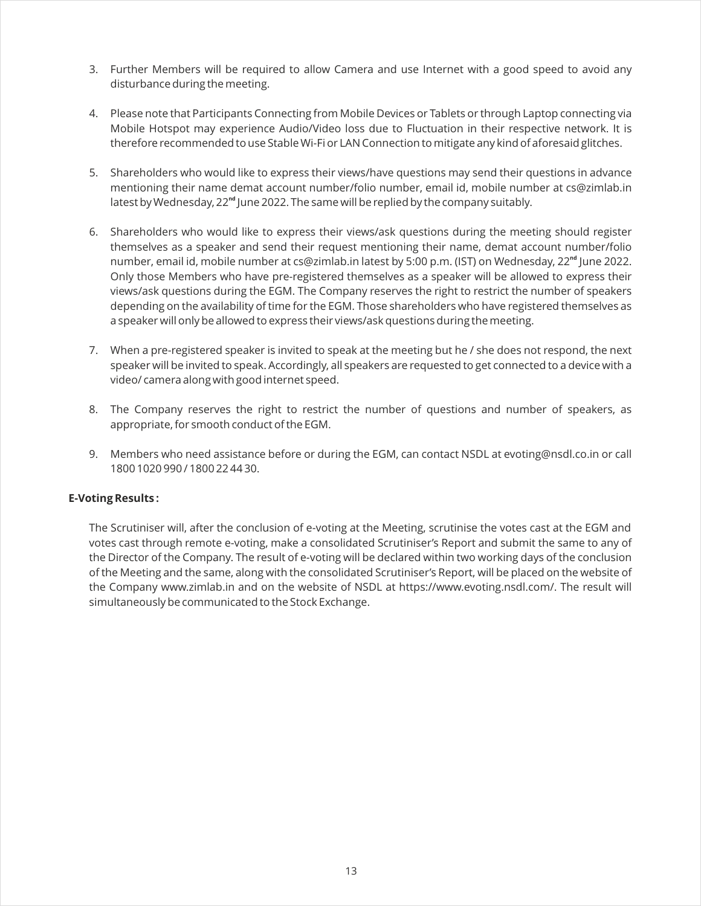- 3. Further Members will be required to allow Camera and use Internet with a good speed to avoid any disturbance during the meeting.
- 4. Please note that Participants Connecting from Mobile Devices or Tablets or through Laptop connecting via Mobile Hotspot may experience Audio/Video loss due to Fluctuation in their respective network. It is therefore recommended to use Stable Wi-Fi or LAN Connection to mitigate any kind of aforesaid glitches.
- 5. Shareholders who would like to express their views/have questions may send their questions in advance mentioning their name demat account number/folio number, email id, mobile number at cs@zimlab.in latest by Wednesday, 22<sup>nd</sup> June 2022. The same will be replied by the company suitably.
- 6. Shareholders who would like to express their views/ask questions during the meeting should register themselves as a speaker and send their request mentioning their name, demat account number/folio number, email id, mobile number at cs@zimlab.in latest by 5:00 p.m. (IST) on Wednesday, 22<sup>nd</sup> June 2022. Only those Members who have pre-registered themselves as a speaker will be allowed to express their views/ask questions during the EGM. The Company reserves the right to restrict the number of speakers depending on the availability of time for the EGM. Those shareholders who have registered themselves as a speaker will only be allowed to express their views/ask questions during the meeting.
- 7. When a pre-registered speaker is invited to speak at the meeting but he / she does not respond, the next speaker will be invited to speak. Accordingly, all speakers are requested to get connected to a device with a video/ camera along with good internet speed.
- 8. The Company reserves the right to restrict the number of questions and number of speakers, as appropriate, for smooth conduct of the EGM.
- 9. Members who need assistance before or during the EGM, can contact NSDL at evoting@nsdl.co.in or call 1800 1020 990 / 1800 22 44 30.

# **E-Voting Results :**

The Scrutiniser will, after the conclusion of e-voting at the Meeting, scrutinise the votes cast at the EGM and votes cast through remote e-voting, make a consolidated Scrutiniser's Report and submit the same to any of the Director of the Company. The result of e-voting will be declared within two working days of the conclusion of the Meeting and the same, along with the consolidated Scrutiniser's Report, will be placed on the website of the Company www.zimlab.in and on the website of NSDL at https://www.evoting.nsdl.com/. The result will simultaneously be communicated to the Stock Exchange.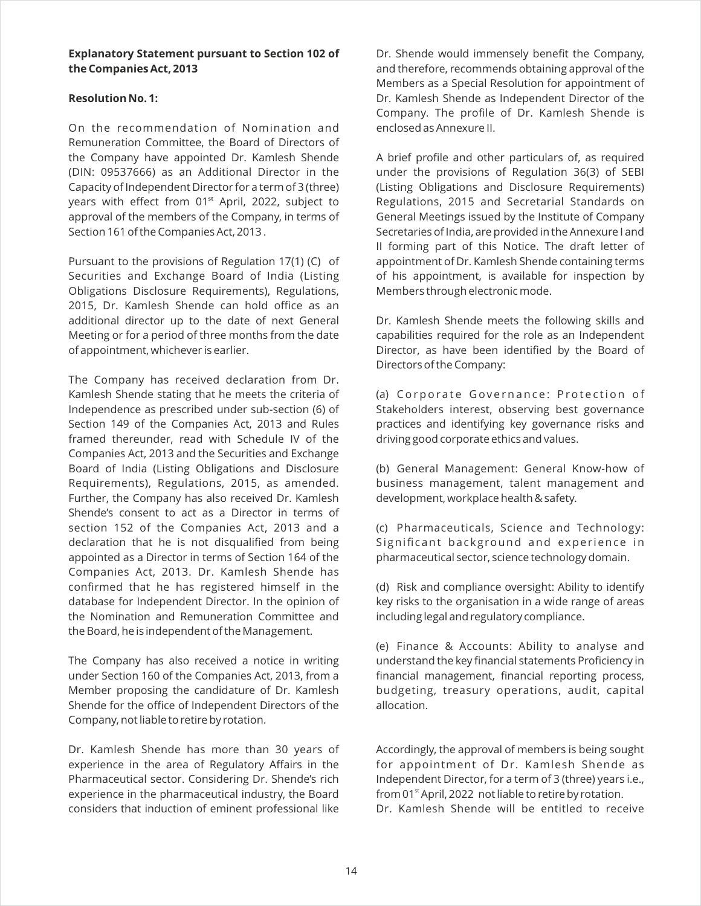# **Explanatory Statement pursuant to Section 102 of the Companies Act, 2013**

# **Resolution No. 1:**

On the recommendation of Nomination and Remuneration Committee, the Board of Directors of the Company have appointed Dr. Kamlesh Shende (DIN: 09537666) as an Additional Director in the Capacity of Independent Director for a term of 3 (three) years with effect from 01<sup>st</sup> April, 2022, subject to approval of the members of the Company, in terms of Section 161 of the Companies Act, 2013 .

Pursuant to the provisions of Regulation 17(1) (C) of Securities and Exchange Board of India (Listing Obligations Disclosure Requirements), Regulations, 2015, Dr. Kamlesh Shende can hold office as an additional director up to the date of next General Meeting or for a period of three months from the date of appointment, whichever is earlier.

The Company has received declaration from Dr. Kamlesh Shende stating that he meets the criteria of Independence as prescribed under sub-section (6) of Section 149 of the Companies Act, 2013 and Rules framed thereunder, read with Schedule IV of the Companies Act, 2013 and the Securities and Exchange Board of India (Listing Obligations and Disclosure Requirements), Regulations, 2015, as amended. Further, the Company has also received Dr. Kamlesh Shende's consent to act as a Director in terms of section 152 of the Companies Act, 2013 and a declaration that he is not disqualified from being appointed as a Director in terms of Section 164 of the Companies Act, 2013. Dr. Kamlesh Shende has confirmed that he has registered himself in the database for Independent Director. In the opinion of the Nomination and Remuneration Committee and the Board, he is independent of the Management.

The Company has also received a notice in writing under Section 160 of the Companies Act, 2013, from a Member proposing the candidature of Dr. Kamlesh Shende for the office of Independent Directors of the Company, not liable to retire by rotation.

Dr. Kamlesh Shende has more than 30 years of experience in the area of Regulatory Affairs in the Pharmaceutical sector. Considering Dr. Shende's rich experience in the pharmaceutical industry, the Board considers that induction of eminent professional like Dr. Shende would immensely benefit the Company, and therefore, recommends obtaining approval of the Members as a Special Resolution for appointment of Dr. Kamlesh Shende as Independent Director of the Company. The profile of Dr. Kamlesh Shende is enclosed as Annexure II.

A brief profile and other particulars of, as required under the provisions of Regulation 36(3) of SEBI (Listing Obligations and Disclosure Requirements) Regulations, 2015 and Secretarial Standards on General Meetings issued by the Institute of Company Secretaries of India, are provided in the Annexure I and II forming part of this Notice. The draft letter of appointment of Dr. Kamlesh Shende containing terms of his appointment, is available for inspection by Members through electronic mode.

Dr. Kamlesh Shende meets the following skills and capabilities required for the role as an Independent Director, as have been identified by the Board of Directors of the Company:

(a) Corporate Governance: Protection of Stakeholders interest, observing best governance practices and identifying key governance risks and driving good corporate ethics and values.

(b) General Management: General Know-how of business management, talent management and development, workplace health & safety.

(c) Pharmaceuticals, Science and Technology: Significant background and experience in pharmaceutical sector, science technology domain.

(d) Risk and compliance oversight: Ability to identify key risks to the organisation in a wide range of areas including legal and regulatory compliance.

(e) Finance & Accounts: Ability to analyse and understand the key financial statements Proficiency in financial management, financial reporting process, budgeting, treasury operations, audit, capital allocation.

Accordingly, the approval of members is being sought for appointment of Dr. Kamlesh Shende as Independent Director, for a term of 3 (three) years i.e., from 01 $^{\text{st}}$  April, 2022 not liable to retire by rotation. Dr. Kamlesh Shende will be entitled to receive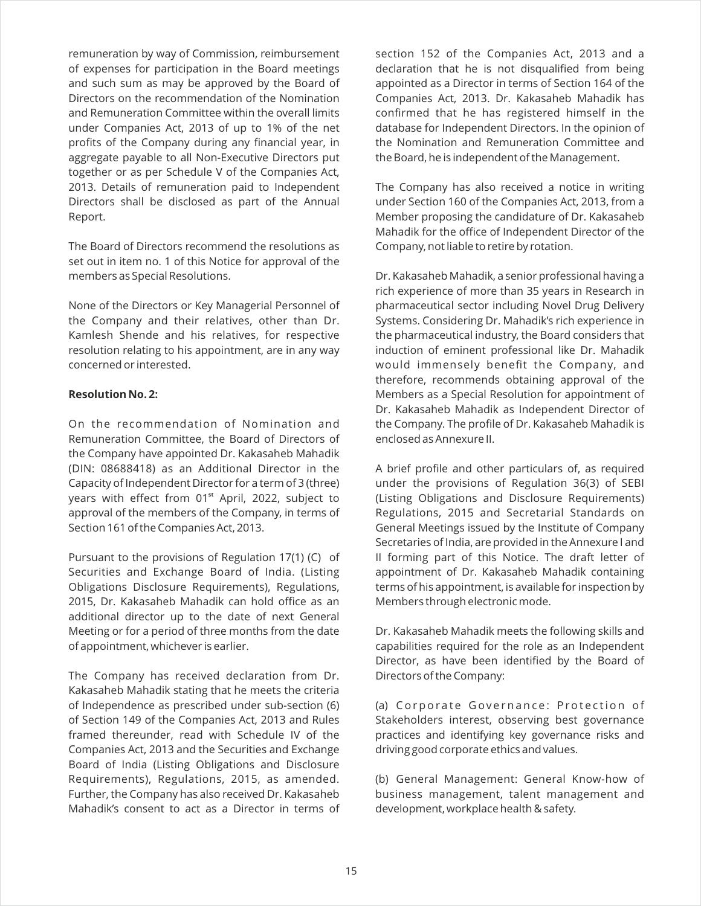remuneration by way of Commission, reimbursement of expenses for participation in the Board meetings and such sum as may be approved by the Board of Directors on the recommendation of the Nomination and Remuneration Committee within the overall limits under Companies Act, 2013 of up to 1% of the net profits of the Company during any financial year, in aggregate payable to all Non-Executive Directors put together or as per Schedule V of the Companies Act, 2013. Details of remuneration paid to Independent Directors shall be disclosed as part of the Annual Report.

The Board of Directors recommend the resolutions as set out in item no. 1 of this Notice for approval of the members as Special Resolutions.

None of the Directors or Key Managerial Personnel of the Company and their relatives, other than Dr. Kamlesh Shende and his relatives, for respective resolution relating to his appointment, are in any way concerned or interested.

#### **Resolution No. 2:**

On the recommendation of Nomination and Remuneration Committee, the Board of Directors of the Company have appointed Dr. Kakasaheb Mahadik (DIN: 08688418) as an Additional Director in the Capacity of Independent Director for a term of 3 (three) years with effect from 01<sup>st</sup> April, 2022, subject to approval of the members of the Company, in terms of Section 161 of the Companies Act, 2013.

Pursuant to the provisions of Regulation 17(1) (C) of Securities and Exchange Board of India. (Listing Obligations Disclosure Requirements), Regulations, 2015, Dr. Kakasaheb Mahadik can hold office as an additional director up to the date of next General Meeting or for a period of three months from the date of appointment, whichever is earlier.

The Company has received declaration from Dr. Kakasaheb Mahadik stating that he meets the criteria of Independence as prescribed under sub-section (6) of Section 149 of the Companies Act, 2013 and Rules framed thereunder, read with Schedule IV of the Companies Act, 2013 and the Securities and Exchange Board of India (Listing Obligations and Disclosure Requirements), Regulations, 2015, as amended. Further, the Company has also received Dr. Kakasaheb Mahadik's consent to act as a Director in terms of section 152 of the Companies Act, 2013 and a declaration that he is not disqualified from being appointed as a Director in terms of Section 164 of the Companies Act, 2013. Dr. Kakasaheb Mahadik has confirmed that he has registered himself in the database for Independent Directors. In the opinion of the Nomination and Remuneration Committee and the Board, he is independent of the Management.

The Company has also received a notice in writing under Section 160 of the Companies Act, 2013, from a Member proposing the candidature of Dr. Kakasaheb Mahadik for the office of Independent Director of the Company, not liable to retire by rotation.

Dr. Kakasaheb Mahadik, a senior professional having a rich experience of more than 35 years in Research in pharmaceutical sector including Novel Drug Delivery Systems. Considering Dr. Mahadik's rich experience in the pharmaceutical industry, the Board considers that induction of eminent professional like Dr. Mahadik would immensely benefit the Company, and therefore, recommends obtaining approval of the Members as a Special Resolution for appointment of Dr. Kakasaheb Mahadik as Independent Director of the Company. The profile of Dr. Kakasaheb Mahadik is enclosed as Annexure II.

A brief profile and other particulars of, as required under the provisions of Regulation 36(3) of SEBI (Listing Obligations and Disclosure Requirements) Regulations, 2015 and Secretarial Standards on General Meetings issued by the Institute of Company Secretaries of India, are provided in the Annexure I and II forming part of this Notice. The draft letter of appointment of Dr. Kakasaheb Mahadik containing terms of his appointment, is available for inspection by Members through electronic mode.

Dr. Kakasaheb Mahadik meets the following skills and capabilities required for the role as an Independent Director, as have been identified by the Board of Directors of the Company:

(a) Corporate Governance: Protection of Stakeholders interest, observing best governance practices and identifying key governance risks and driving good corporate ethics and values.

(b) General Management: General Know-how of business management, talent management and development, workplace health & safety.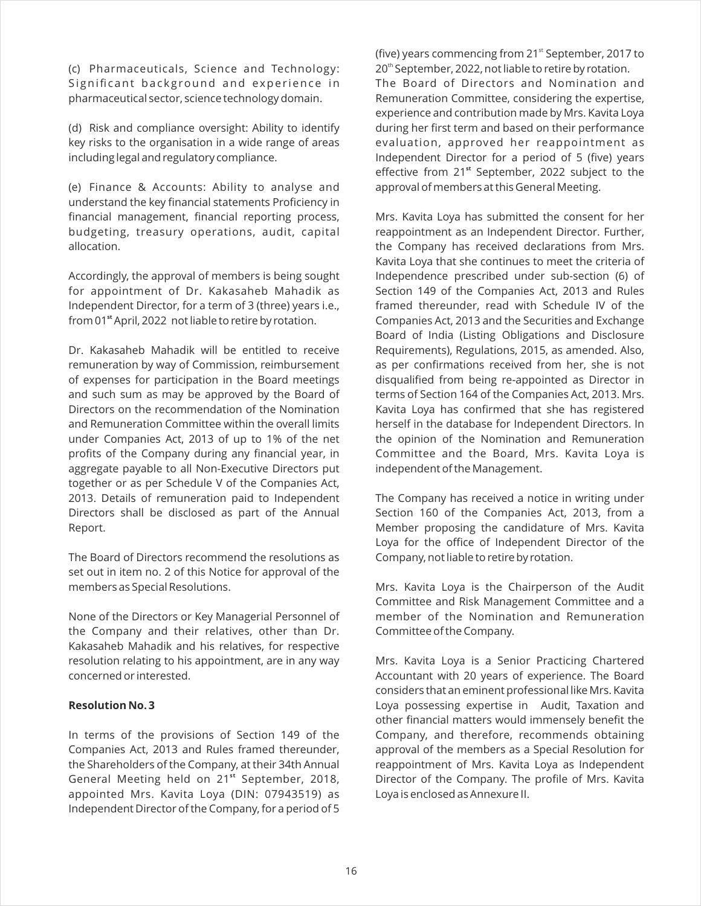(c) Pharmaceuticals, Science and Technology: Significant background and experience in pharmaceutical sector, science technology domain.

(d) Risk and compliance oversight: Ability to identify key risks to the organisation in a wide range of areas including legal and regulatory compliance.

(e) Finance & Accounts: Ability to analyse and understand the key financial statements Proficiency in financial management, financial reporting process, budgeting, treasury operations, audit, capital allocation.

Accordingly, the approval of members is being sought for appointment of Dr. Kakasaheb Mahadik as Independent Director, for a term of 3 (three) years i.e., from 01<sup>st</sup> April, 2022 not liable to retire by rotation.

Dr. Kakasaheb Mahadik will be entitled to receive remuneration by way of Commission, reimbursement of expenses for participation in the Board meetings and such sum as may be approved by the Board of Directors on the recommendation of the Nomination and Remuneration Committee within the overall limits under Companies Act, 2013 of up to 1% of the net profits of the Company during any financial year, in aggregate payable to all Non-Executive Directors put together or as per Schedule V of the Companies Act, 2013. Details of remuneration paid to Independent Directors shall be disclosed as part of the Annual Report.

The Board of Directors recommend the resolutions as set out in item no. 2 of this Notice for approval of the members as Special Resolutions.

None of the Directors or Key Managerial Personnel of the Company and their relatives, other than Dr. Kakasaheb Mahadik and his relatives, for respective resolution relating to his appointment, are in any way concerned or interested.

#### **Resolution No. 3**

In terms of the provisions of Section 149 of the Companies Act, 2013 and Rules framed thereunder, the Shareholders of the Company, at their 34th Annual General Meeting held on 21<sup>st</sup> September, 2018, appointed Mrs. Kavita Loya (DIN: 07943519) as Independent Director of the Company, for a period of 5

(five) years commencing from  $21<sup>st</sup>$  September, 2017 to 20<sup>th</sup> September, 2022, not liable to retire by rotation. The Board of Directors and Nomination and Remuneration Committee, considering the expertise, experience and contribution made by Mrs. Kavita Loya during her first term and based on their performance evaluation, approved her reappointment as Independent Director for a period of 5 (five) years effective from 21<sup>st</sup> September, 2022 subject to the approval of members at this General Meeting.

Mrs. Kavita Loya has submitted the consent for her reappointment as an Independent Director. Further, the Company has received declarations from Mrs. Kavita Loya that she continues to meet the criteria of Independence prescribed under sub-section (6) of Section 149 of the Companies Act, 2013 and Rules framed thereunder, read with Schedule IV of the Companies Act, 2013 and the Securities and Exchange Board of India (Listing Obligations and Disclosure Requirements), Regulations, 2015, as amended. Also, as per confirmations received from her, she is not disqualified from being re-appointed as Director in terms of Section 164 of the Companies Act, 2013. Mrs. Kavita Loya has confirmed that she has registered herself in the database for Independent Directors. In the opinion of the Nomination and Remuneration Committee and the Board, Mrs. Kavita Loya is independent of the Management.

The Company has received a notice in writing under Section 160 of the Companies Act, 2013, from a Member proposing the candidature of Mrs. Kavita Loya for the office of Independent Director of the Company, not liable to retire by rotation.

Mrs. Kavita Loya is the Chairperson of the Audit Committee and Risk Management Committee and a member of the Nomination and Remuneration Committee of the Company.

Mrs. Kavita Loya is a Senior Practicing Chartered Accountant with 20 years of experience. The Board considers that an eminent professional like Mrs. Kavita Loya possessing expertise in Audit, Taxation and other financial matters would immensely benefit the Company, and therefore, recommends obtaining approval of the members as a Special Resolution for reappointment of Mrs. Kavita Loya as Independent Director of the Company. The profile of Mrs. Kavita Loya is enclosed as Annexure II.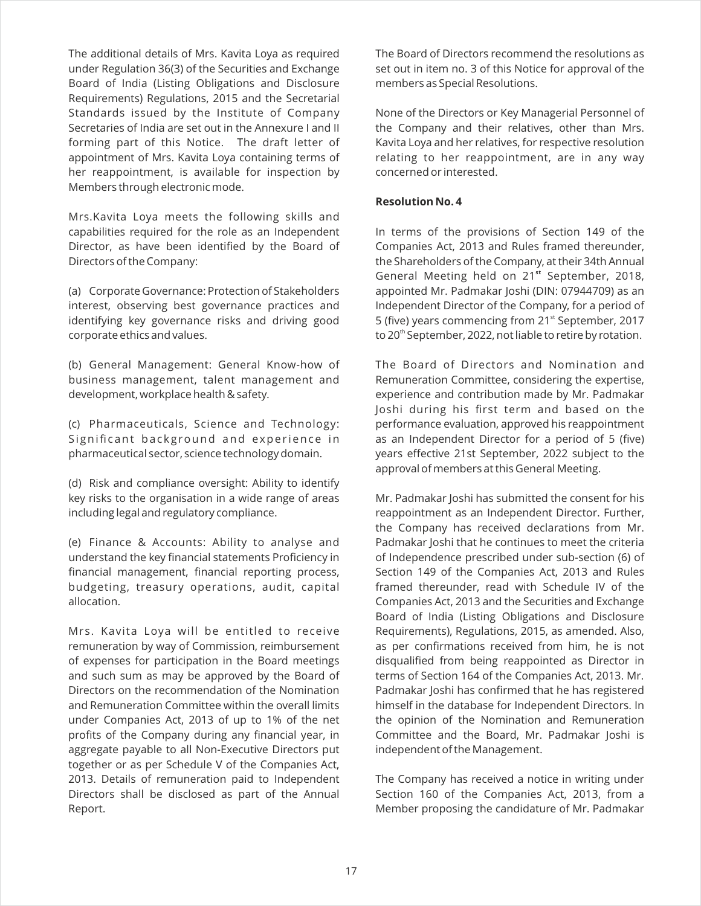The additional details of Mrs. Kavita Loya as required under Regulation 36(3) of the Securities and Exchange Board of India (Listing Obligations and Disclosure Requirements) Regulations, 2015 and the Secretarial Standards issued by the Institute of Company Secretaries of India are set out in the Annexure I and II forming part of this Notice. The draft letter of appointment of Mrs. Kavita Loya containing terms of her reappointment, is available for inspection by Members through electronic mode.

Mrs.Kavita Loya meets the following skills and capabilities required for the role as an Independent Director, as have been identified by the Board of Directors of the Company:

(a) Corporate Governance: Protection of Stakeholders interest, observing best governance practices and identifying key governance risks and driving good corporate ethics and values.

(b) General Management: General Know-how of business management, talent management and development, workplace health & safety.

(c) Pharmaceuticals, Science and Technology: Significant background and experience in pharmaceutical sector, science technology domain.

(d) Risk and compliance oversight: Ability to identify key risks to the organisation in a wide range of areas including legal and regulatory compliance.

(e) Finance & Accounts: Ability to analyse and understand the key financial statements Proficiency in financial management, financial reporting process, budgeting, treasury operations, audit, capital allocation.

Mrs. Kavita Loya will be entitled to receive remuneration by way of Commission, reimbursement of expenses for participation in the Board meetings and such sum as may be approved by the Board of Directors on the recommendation of the Nomination and Remuneration Committee within the overall limits under Companies Act, 2013 of up to 1% of the net profits of the Company during any financial year, in aggregate payable to all Non-Executive Directors put together or as per Schedule V of the Companies Act, 2013. Details of remuneration paid to Independent Directors shall be disclosed as part of the Annual Report.

The Board of Directors recommend the resolutions as set out in item no. 3 of this Notice for approval of the members as Special Resolutions.

None of the Directors or Key Managerial Personnel of the Company and their relatives, other than Mrs. Kavita Loya and her relatives, for respective resolution relating to her reappointment, are in any way concerned or interested.

#### **Resolution No. 4**

In terms of the provisions of Section 149 of the Companies Act, 2013 and Rules framed thereunder, the Shareholders of the Company, at their 34th Annual General Meeting held on 21<sup>st</sup> September, 2018, appointed Mr. Padmakar Joshi (DIN: 07944709) as an Independent Director of the Company, for a period of 5 (five) years commencing from 21<sup>st</sup> September, 2017 to 20<sup>th</sup> September, 2022, not liable to retire by rotation.

The Board of Directors and Nomination and Remuneration Committee, considering the expertise, experience and contribution made by Mr. Padmakar Joshi during his first term and based on the performance evaluation, approved his reappointment as an Independent Director for a period of 5 (five) years effective 21st September, 2022 subject to the approval of members at this General Meeting.

Mr. Padmakar Joshi has submitted the consent for his reappointment as an Independent Director. Further, the Company has received declarations from Mr. Padmakar Joshi that he continues to meet the criteria of Independence prescribed under sub-section (6) of Section 149 of the Companies Act, 2013 and Rules framed thereunder, read with Schedule IV of the Companies Act, 2013 and the Securities and Exchange Board of India (Listing Obligations and Disclosure Requirements), Regulations, 2015, as amended. Also, as per confirmations received from him, he is not disqualified from being reappointed as Director in terms of Section 164 of the Companies Act, 2013. Mr. Padmakar Joshi has confirmed that he has registered himself in the database for Independent Directors. In the opinion of the Nomination and Remuneration Committee and the Board, Mr. Padmakar Joshi is independent of the Management.

The Company has received a notice in writing under Section 160 of the Companies Act, 2013, from a Member proposing the candidature of Mr. Padmakar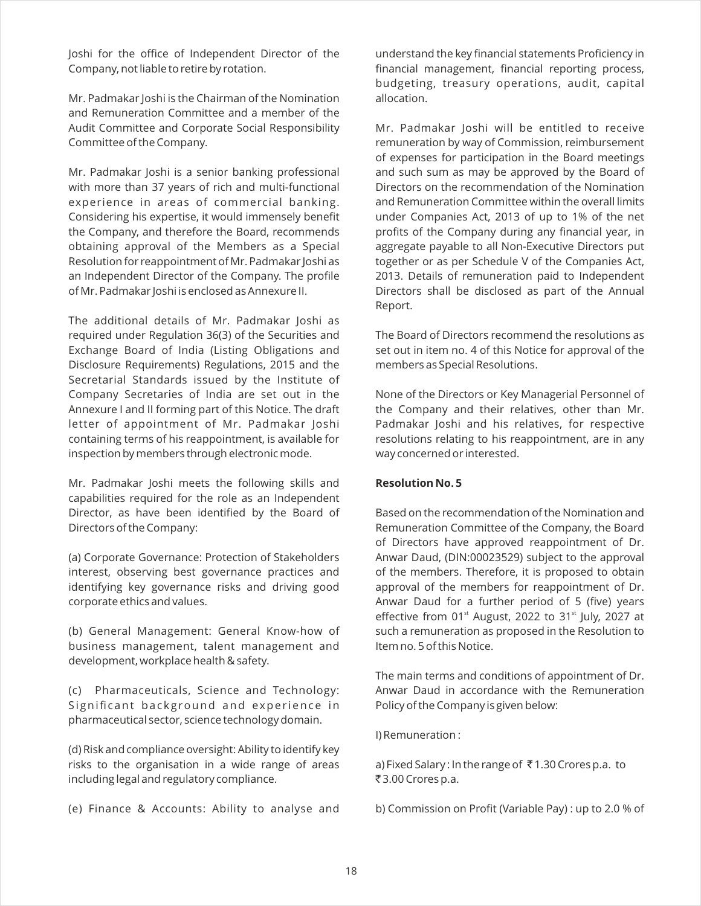Joshi for the office of Independent Director of the Company, not liable to retire by rotation.

Mr. Padmakar Joshi is the Chairman of the Nomination and Remuneration Committee and a member of the Audit Committee and Corporate Social Responsibility Committee of the Company.

Mr. Padmakar Joshi is a senior banking professional with more than 37 years of rich and multi-functional experience in areas of commercial banking. Considering his expertise, it would immensely benefit the Company, and therefore the Board, recommends obtaining approval of the Members as a Special Resolution for reappointment of Mr. Padmakar Joshi as an Independent Director of the Company. The profile of Mr. Padmakar Joshi is enclosed as Annexure II.

The additional details of Mr. Padmakar Joshi as required under Regulation 36(3) of the Securities and Exchange Board of India (Listing Obligations and Disclosure Requirements) Regulations, 2015 and the Secretarial Standards issued by the Institute of Company Secretaries of India are set out in the Annexure I and II forming part of this Notice. The draft letter of appointment of Mr. Padmakar Joshi containing terms of his reappointment, is available for inspection by members through electronic mode.

Mr. Padmakar Joshi meets the following skills and capabilities required for the role as an Independent Director, as have been identified by the Board of Directors of the Company:

(a) Corporate Governance: Protection of Stakeholders interest, observing best governance practices and identifying key governance risks and driving good corporate ethics and values.

(b) General Management: General Know-how of business management, talent management and development, workplace health & safety.

(c) Pharmaceuticals, Science and Technology: Significant background and experience in pharmaceutical sector, science technology domain.

(d) Risk and compliance oversight: Ability to identify key risks to the organisation in a wide range of areas including legal and regulatory compliance.

(e) Finance & Accounts: Ability to analyse and

understand the key financial statements Proficiency in financial management, financial reporting process, budgeting, treasury operations, audit, capital allocation.

Mr. Padmakar Joshi will be entitled to receive remuneration by way of Commission, reimbursement of expenses for participation in the Board meetings and such sum as may be approved by the Board of Directors on the recommendation of the Nomination and Remuneration Committee within the overall limits under Companies Act, 2013 of up to 1% of the net profits of the Company during any financial year, in aggregate payable to all Non-Executive Directors put together or as per Schedule V of the Companies Act, 2013. Details of remuneration paid to Independent Directors shall be disclosed as part of the Annual Report.

The Board of Directors recommend the resolutions as set out in item no. 4 of this Notice for approval of the members as Special Resolutions.

None of the Directors or Key Managerial Personnel of the Company and their relatives, other than Mr. Padmakar Joshi and his relatives, for respective resolutions relating to his reappointment, are in any way concerned or interested.

#### **Resolution No. 5**

Based on the recommendation of the Nomination and Remuneration Committee of the Company, the Board of Directors have approved reappointment of Dr. Anwar Daud, (DIN:00023529) subject to the approval of the members. Therefore, it is proposed to obtain approval of the members for reappointment of Dr. Anwar Daud for a further period of 5 (five) years effective from 01 $^{\rm st}$  August, 2022 to 31 $^{\rm st}$  July, 2027 at such a remuneration as proposed in the Resolution to Item no. 5 of this Notice.

The main terms and conditions of appointment of Dr. Anwar Daud in accordance with the Remuneration Policy of the Company is given below:

I) Remuneration :

a) Fixed Salary : In the range of ₹1.30 Crores p.a. to ₹3.00 Crores p.a.

b) Commission on Profit (Variable Pay) : up to 2.0 % of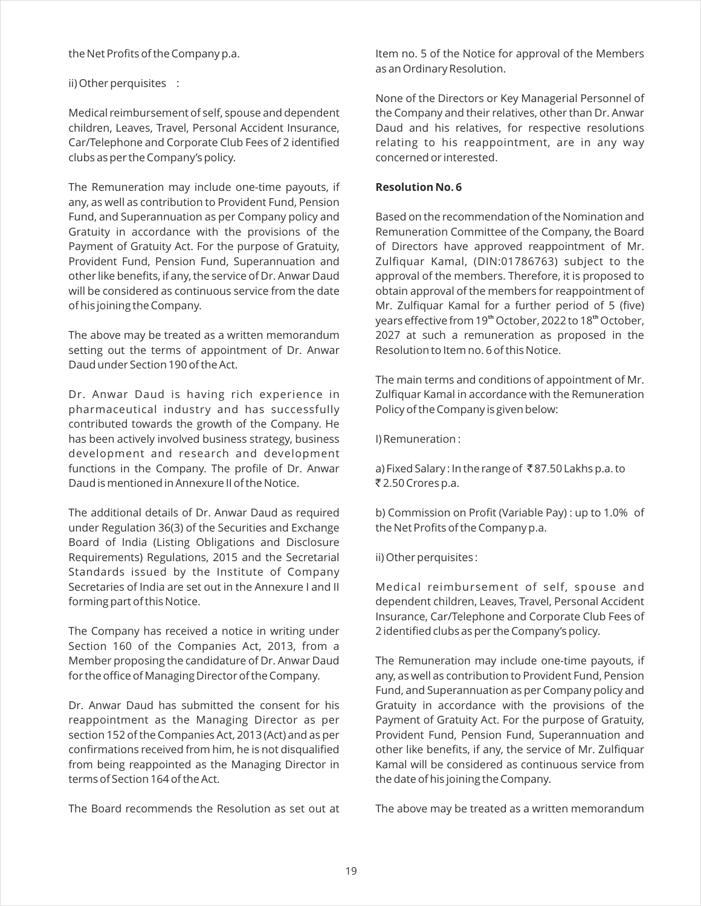the Net Profits of the Company p.a.

ii) Other perquisites :

Medical reimbursement of self, spouse and dependent children, Leaves, Travel, Personal Accident Insurance, Car/Telephone and Corporate Club Fees of 2 identified clubs as per the Company's policy.

The Remuneration may include one-time payouts, if any, as well as contribution to Provident Fund, Pension Fund, and Superannuation as per Company policy and Gratuity in accordance with the provisions of the Payment of Gratuity Act. For the purpose of Gratuity, Provident Fund, Pension Fund, Superannuation and other like benefits, if any, the service of Dr. Anwar Daud will be considered as continuous service from the date of his joining the Company.

The above may be treated as a written memorandum setting out the terms of appointment of Dr. Anwar Daud under Section 190 of the Act.

Dr. Anwar Daud is having rich experience in pharmaceutical industry and has successfully contributed towards the growth of the Company. He has been actively involved business strategy, business development and research and development functions in the Company. The profile of Dr. Anwar Daud is mentioned in Annexure II of the Notice.

The additional details of Dr. Anwar Daud as required under Regulation 36(3) of the Securities and Exchange Board of India (Listing Obligations and Disclosure Requirements) Regulations, 2015 and the Secretarial Standards issued by the Institute of Company Secretaries of India are set out in the Annexure I and II forming part of this Notice.

The Company has received a notice in writing under Section 160 of the Companies Act, 2013, from a Member proposing the candidature of Dr. Anwar Daud for the office of Managing Director of the Company.

Dr. Anwar Daud has submitted the consent for his reappointment as the Managing Director as per section 152 of the Companies Act, 2013 (Act) and as per confirmations received from him, he is not disqualified from being reappointed as the Managing Director in terms of Section 164 of the Act.

The Board recommends the Resolution as set out at

Item no. 5 of the Notice for approval of the Members as an Ordinary Resolution.

None of the Directors or Key Managerial Personnel of the Company and their relatives, other than Dr. Anwar Daud and his relatives, for respective resolutions relating to his reappointment, are in any way concerned or interested.

# **Resolution No. 6**

Based on the recommendation of the Nomination and Remuneration Committee of the Company, the Board of Directors have approved reappointment of Mr. Zulfiquar Kamal, (DIN:01786763) subject to the approval of the members. Therefore, it is proposed to obtain approval of the members for reappointment of Mr. Zulfiquar Kamal for a further period of 5 (five) years effective from 19<sup>th</sup> October, 2022 to 18<sup>th</sup> October, 2027 at such a remuneration as proposed in the Resolution to Item no. 6 of this Notice.

The main terms and conditions of appointment of Mr. Zulfiquar Kamal in accordance with the Remuneration Policy of the Company is given below:

I) Remuneration :

a) Fixed Salary : In the range of ` 87.50 Lakhs p.a. to ₹ 2.50 Crores p.a.

b) Commission on Profit (Variable Pay) : up to 1.0% of the Net Profits of the Company p.a.

ii) Other perquisites :

Medical reimbursement of self, spouse and dependent children, Leaves, Travel, Personal Accident Insurance, Car/Telephone and Corporate Club Fees of 2 identified clubs as per the Company's policy.

The Remuneration may include one-time payouts, if any, as well as contribution to Provident Fund, Pension Fund, and Superannuation as per Company policy and Gratuity in accordance with the provisions of the Payment of Gratuity Act. For the purpose of Gratuity, Provident Fund, Pension Fund, Superannuation and other like benefits, if any, the service of Mr. Zulfiquar Kamal will be considered as continuous service from the date of his joining the Company.

The above may be treated as a written memorandum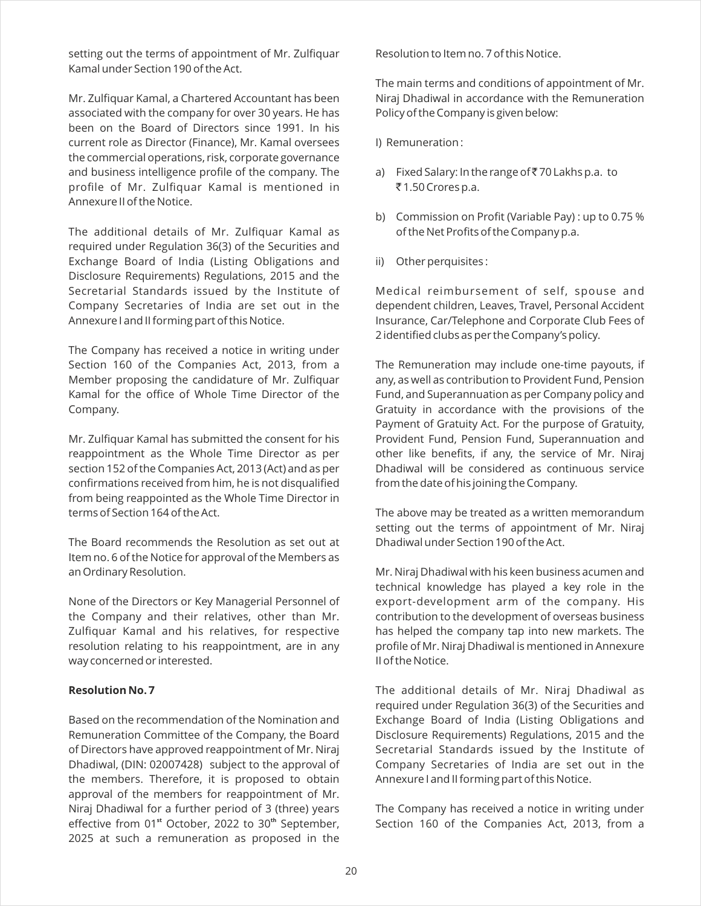setting out the terms of appointment of Mr. Zulfiquar Kamal under Section 190 of the Act.

Mr. Zulfiquar Kamal, a Chartered Accountant has been associated with the company for over 30 years. He has been on the Board of Directors since 1991. In his current role as Director (Finance), Mr. Kamal oversees the commercial operations, risk, corporate governance and business intelligence profile of the company. The profile of Mr. Zulfiquar Kamal is mentioned in Annexure II of the Notice.

The additional details of Mr. Zulfiquar Kamal as required under Regulation 36(3) of the Securities and Exchange Board of India (Listing Obligations and Disclosure Requirements) Regulations, 2015 and the Secretarial Standards issued by the Institute of Company Secretaries of India are set out in the Annexure I and II forming part of this Notice.

The Company has received a notice in writing under Section 160 of the Companies Act, 2013, from a Member proposing the candidature of Mr. Zulfiquar Kamal for the office of Whole Time Director of the Company.

Mr. Zulfiquar Kamal has submitted the consent for his reappointment as the Whole Time Director as per section 152 of the Companies Act, 2013 (Act) and as per confirmations received from him, he is not disqualified from being reappointed as the Whole Time Director in terms of Section 164 of the Act.

The Board recommends the Resolution as set out at Item no. 6 of the Notice for approval of the Members as an Ordinary Resolution.

None of the Directors or Key Managerial Personnel of the Company and their relatives, other than Mr. Zulfiquar Kamal and his relatives, for respective resolution relating to his reappointment, are in any way concerned or interested.

#### **Resolution No. 7**

Based on the recommendation of the Nomination and Remuneration Committee of the Company, the Board of Directors have approved reappointment of Mr. Niraj Dhadiwal, (DIN: 02007428) subject to the approval of the members. Therefore, it is proposed to obtain approval of the members for reappointment of Mr. Niraj Dhadiwal for a further period of 3 (three) years effective from 01<sup>st</sup> October, 2022 to 30<sup>th</sup> September, 2025 at such a remuneration as proposed in the

Resolution to Item no. 7 of this Notice.

The main terms and conditions of appointment of Mr. Niraj Dhadiwal in accordance with the Remuneration Policy of the Company is given below:

I) Remuneration :

- a) Fixed Salary: In the range of ₹70 Lakhs p.a. to  $\overline{5}$ 1.50 Crores p.a.
- b) Commission on Profit (Variable Pay) : up to 0.75 % of the Net Profits of the Company p.a.
- ii) Other perquisites :

Medical reimbursement of self, spouse and dependent children, Leaves, Travel, Personal Accident Insurance, Car/Telephone and Corporate Club Fees of 2 identified clubs as per the Company's policy.

The Remuneration may include one-time payouts, if any, as well as contribution to Provident Fund, Pension Fund, and Superannuation as per Company policy and Gratuity in accordance with the provisions of the Payment of Gratuity Act. For the purpose of Gratuity, Provident Fund, Pension Fund, Superannuation and other like benefits, if any, the service of Mr. Niraj Dhadiwal will be considered as continuous service from the date of his joining the Company.

The above may be treated as a written memorandum setting out the terms of appointment of Mr. Niraj Dhadiwal under Section 190 of the Act.

Mr. Niraj Dhadiwal with his keen business acumen and technical knowledge has played a key role in the export-development arm of the company. His contribution to the development of overseas business has helped the company tap into new markets. The profile of Mr. Niraj Dhadiwal is mentioned in Annexure II of the Notice.

The additional details of Mr. Niraj Dhadiwal as required under Regulation 36(3) of the Securities and Exchange Board of India (Listing Obligations and Disclosure Requirements) Regulations, 2015 and the Secretarial Standards issued by the Institute of Company Secretaries of India are set out in the Annexure I and II forming part of this Notice.

The Company has received a notice in writing under Section 160 of the Companies Act, 2013, from a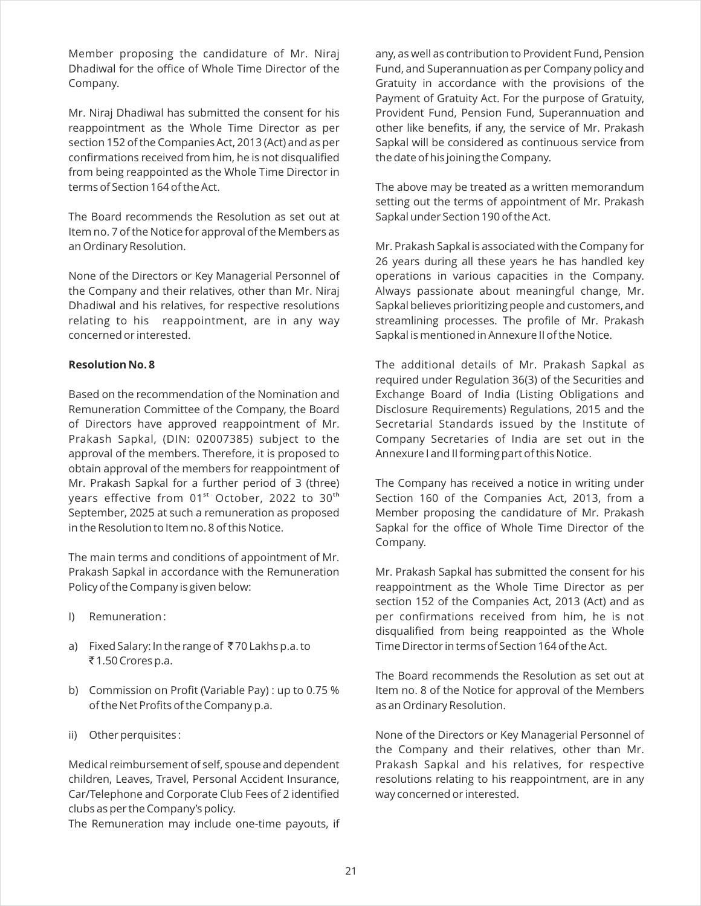Member proposing the candidature of Mr. Niraj Dhadiwal for the office of Whole Time Director of the Company.

Mr. Niraj Dhadiwal has submitted the consent for his reappointment as the Whole Time Director as per section 152 of the Companies Act, 2013 (Act) and as per confirmations received from him, he is not disqualified from being reappointed as the Whole Time Director in terms of Section 164 of the Act.

The Board recommends the Resolution as set out at Item no. 7 of the Notice for approval of the Members as an Ordinary Resolution.

None of the Directors or Key Managerial Personnel of the Company and their relatives, other than Mr. Niraj Dhadiwal and his relatives, for respective resolutions relating to his reappointment, are in any way concerned or interested.

# **Resolution No. 8**

Based on the recommendation of the Nomination and Remuneration Committee of the Company, the Board of Directors have approved reappointment of Mr. Prakash Sapkal, (DIN: 02007385) subject to the approval of the members. Therefore, it is proposed to obtain approval of the members for reappointment of Mr. Prakash Sapkal for a further period of 3 (three) years effective from 01<sup>st</sup> October, 2022 to 30<sup>th</sup> September, 2025 at such a remuneration as proposed in the Resolution to Item no. 8 of this Notice.

The main terms and conditions of appointment of Mr. Prakash Sapkal in accordance with the Remuneration Policy of the Company is given below:

- I) Remuneration :
- a) Fixed Salary: In the range of  $\bar{\tau}$  70 Lakhs p.a. to ₹1.50 Crores p.a.
- b) Commission on Profit (Variable Pay) : up to 0.75 % of the Net Profits of the Company p.a.
- ii) Other perquisites :

Medical reimbursement of self, spouse and dependent children, Leaves, Travel, Personal Accident Insurance, Car/Telephone and Corporate Club Fees of 2 identified clubs as per the Company's policy.

The Remuneration may include one-time payouts, if

any, as well as contribution to Provident Fund, Pension Fund, and Superannuation as per Company policy and Gratuity in accordance with the provisions of the Payment of Gratuity Act. For the purpose of Gratuity, Provident Fund, Pension Fund, Superannuation and other like benefits, if any, the service of Mr. Prakash Sapkal will be considered as continuous service from the date of his joining the Company.

The above may be treated as a written memorandum setting out the terms of appointment of Mr. Prakash Sapkal under Section 190 of the Act.

Mr. Prakash Sapkal is associated with the Company for 26 years during all these years he has handled key operations in various capacities in the Company. Always passionate about meaningful change, Mr. Sapkal believes prioritizing people and customers, and streamlining processes. The profile of Mr. Prakash Sapkal is mentioned in Annexure II of the Notice.

The additional details of Mr. Prakash Sapkal as required under Regulation 36(3) of the Securities and Exchange Board of India (Listing Obligations and Disclosure Requirements) Regulations, 2015 and the Secretarial Standards issued by the Institute of Company Secretaries of India are set out in the Annexure I and II forming part of this Notice.

The Company has received a notice in writing under Section 160 of the Companies Act, 2013, from a Member proposing the candidature of Mr. Prakash Sapkal for the office of Whole Time Director of the Company.

Mr. Prakash Sapkal has submitted the consent for his reappointment as the Whole Time Director as per section 152 of the Companies Act, 2013 (Act) and as per confirmations received from him, he is not disqualified from being reappointed as the Whole Time Director in terms of Section 164 of the Act.

The Board recommends the Resolution as set out at Item no. 8 of the Notice for approval of the Members as an Ordinary Resolution.

None of the Directors or Key Managerial Personnel of the Company and their relatives, other than Mr. Prakash Sapkal and his relatives, for respective resolutions relating to his reappointment, are in any way concerned or interested.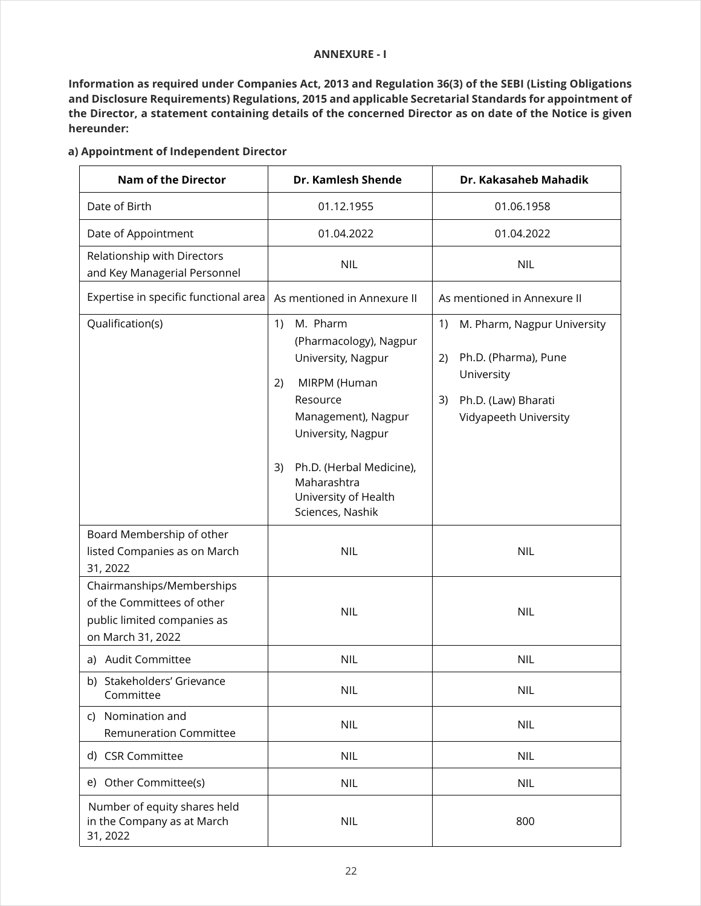#### **ANNEXURE - I**

**Information as required under Companies Act, 2013 and Regulation 36(3) of the SEBI (Listing Obligations and Disclosure Requirements) Regulations, 2015 and applicable Secretarial Standards for appointment of the Director, a statement containing details of the concerned Director as on date of the Notice is given hereunder:**

# **a) Appointment of Independent Director**

| <b>Nam of the Director</b>                                                                                  | Dr. Kamlesh Shende                                                                                                                                                                                                                         | Dr. Kakasaheb Mahadik                                                                                                               |  |
|-------------------------------------------------------------------------------------------------------------|--------------------------------------------------------------------------------------------------------------------------------------------------------------------------------------------------------------------------------------------|-------------------------------------------------------------------------------------------------------------------------------------|--|
| Date of Birth                                                                                               | 01.12.1955                                                                                                                                                                                                                                 | 01.06.1958                                                                                                                          |  |
| Date of Appointment                                                                                         | 01.04.2022                                                                                                                                                                                                                                 | 01.04.2022                                                                                                                          |  |
| Relationship with Directors<br>and Key Managerial Personnel                                                 | <b>NIL</b>                                                                                                                                                                                                                                 | <b>NIL</b>                                                                                                                          |  |
| Expertise in specific functional area                                                                       | As mentioned in Annexure II                                                                                                                                                                                                                | As mentioned in Annexure II                                                                                                         |  |
| Qualification(s)                                                                                            | M. Pharm<br>1)<br>(Pharmacology), Nagpur<br>University, Nagpur<br>MIRPM (Human<br>2)<br>Resource<br>Management), Nagpur<br>University, Nagpur<br>Ph.D. (Herbal Medicine),<br>3)<br>Maharashtra<br>University of Health<br>Sciences, Nashik | 1)<br>M. Pharm, Nagpur University<br>Ph.D. (Pharma), Pune<br>2)<br>University<br>3)<br>Ph.D. (Law) Bharati<br>Vidyapeeth University |  |
| Board Membership of other<br>listed Companies as on March<br>31, 2022                                       | <b>NIL</b>                                                                                                                                                                                                                                 | <b>NIL</b>                                                                                                                          |  |
| Chairmanships/Memberships<br>of the Committees of other<br>public limited companies as<br>on March 31, 2022 | <b>NIL</b>                                                                                                                                                                                                                                 | <b>NIL</b>                                                                                                                          |  |
| a) Audit Committee                                                                                          | <b>NIL</b>                                                                                                                                                                                                                                 | <b>NIL</b>                                                                                                                          |  |
| b) Stakeholders' Grievance<br>Committee                                                                     | <b>NIL</b>                                                                                                                                                                                                                                 | <b>NIL</b>                                                                                                                          |  |
| Nomination and<br>C)<br><b>Remuneration Committee</b>                                                       | <b>NIL</b>                                                                                                                                                                                                                                 | <b>NIL</b>                                                                                                                          |  |
| d) CSR Committee                                                                                            | <b>NIL</b>                                                                                                                                                                                                                                 | <b>NIL</b>                                                                                                                          |  |
| e) Other Committee(s)                                                                                       | <b>NIL</b>                                                                                                                                                                                                                                 | <b>NIL</b>                                                                                                                          |  |
| Number of equity shares held<br>in the Company as at March<br>31, 2022                                      | <b>NIL</b>                                                                                                                                                                                                                                 | 800                                                                                                                                 |  |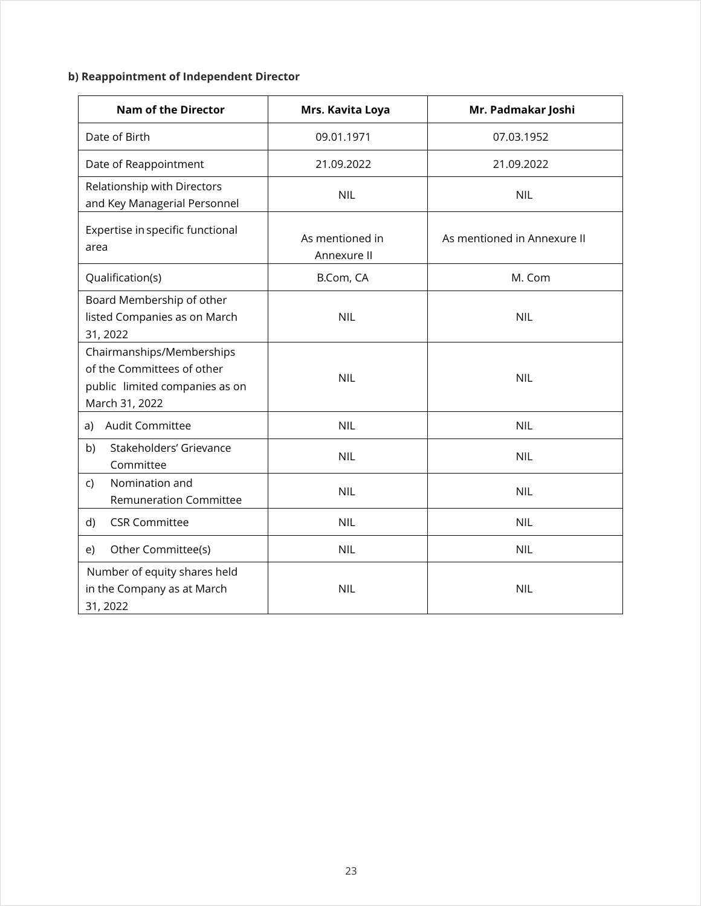# **b)Reappointment of Independent Director**

| <b>Nam of the Director</b>                                                                                  | Mrs. Kavita Loya               | Mr. Padmakar Joshi          |  |
|-------------------------------------------------------------------------------------------------------------|--------------------------------|-----------------------------|--|
| Date of Birth                                                                                               | 09.01.1971                     | 07.03.1952                  |  |
| Date of Reappointment                                                                                       | 21.09.2022                     | 21.09.2022                  |  |
| Relationship with Directors<br>and Key Managerial Personnel                                                 | <b>NIL</b>                     | <b>NIL</b>                  |  |
| Expertise in specific functional<br>area                                                                    | As mentioned in<br>Annexure II | As mentioned in Annexure II |  |
| Qualification(s)                                                                                            | B.Com, CA                      | M. Com                      |  |
| Board Membership of other<br>listed Companies as on March<br>31, 2022                                       | <b>NIL</b>                     | <b>NIL</b>                  |  |
| Chairmanships/Memberships<br>of the Committees of other<br>public limited companies as on<br>March 31, 2022 | <b>NIL</b>                     | <b>NIL</b>                  |  |
| Audit Committee<br>a)                                                                                       | <b>NIL</b>                     | <b>NIL</b>                  |  |
| Stakeholders' Grievance<br>b)<br>Committee                                                                  | <b>NIL</b>                     | <b>NIL</b>                  |  |
| Nomination and<br>$\mathsf{C}$<br><b>Remuneration Committee</b>                                             | <b>NIL</b>                     | <b>NIL</b>                  |  |
| <b>CSR Committee</b><br>d)                                                                                  | <b>NIL</b>                     | <b>NIL</b>                  |  |
| Other Committee(s)<br>e)                                                                                    | <b>NIL</b>                     | <b>NIL</b>                  |  |
| Number of equity shares held<br>in the Company as at March<br>31, 2022                                      | <b>NIL</b>                     | <b>NIL</b>                  |  |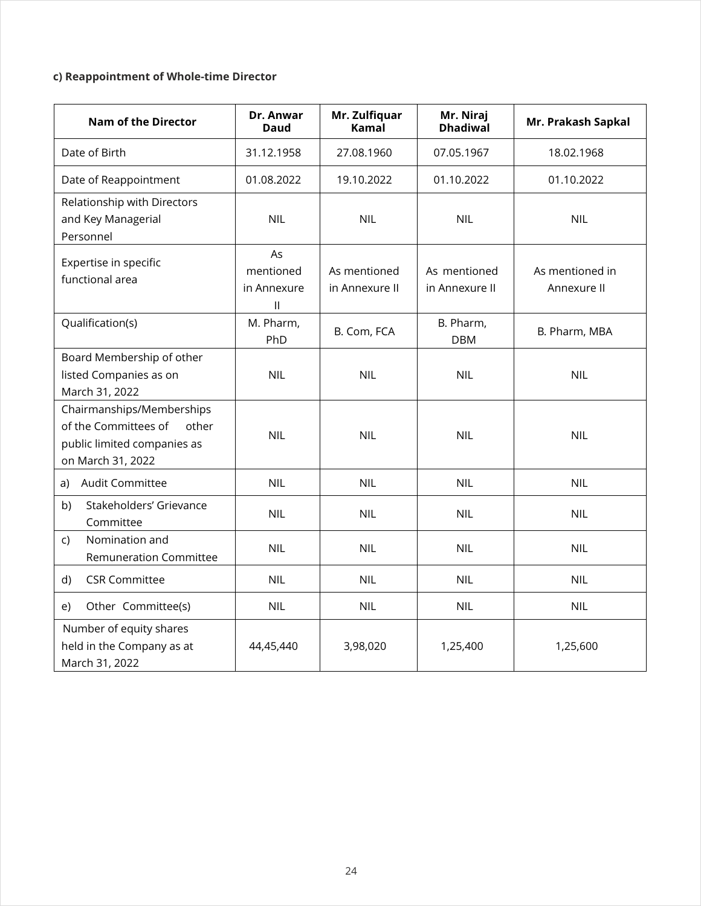# **c)Reappointment of Whole-time Director**

| <b>Nam of the Director</b>                                                                                     | Dr. Anwar<br>Daud                                            | Mr. Zulfiquar<br><b>Kamal</b>  | Mr. Niraj<br><b>Dhadiwal</b>   | Mr. Prakash Sapkal             |
|----------------------------------------------------------------------------------------------------------------|--------------------------------------------------------------|--------------------------------|--------------------------------|--------------------------------|
| Date of Birth                                                                                                  | 31.12.1958                                                   | 27.08.1960                     | 07.05.1967                     | 18.02.1968                     |
| Date of Reappointment                                                                                          | 01.08.2022                                                   | 19.10.2022                     | 01.10.2022                     | 01.10.2022                     |
| Relationship with Directors<br>and Key Managerial<br>Personnel                                                 | <b>NIL</b>                                                   | <b>NIL</b>                     | <b>NIL</b>                     | <b>NIL</b>                     |
| Expertise in specific<br>functional area                                                                       | As<br>mentioned<br>in Annexure<br>$\ensuremath{\mathsf{II}}$ | As mentioned<br>in Annexure II | As mentioned<br>in Annexure II | As mentioned in<br>Annexure II |
| Qualification(s)                                                                                               | M. Pharm,<br>PhD                                             | B. Com, FCA                    | B. Pharm,<br><b>DBM</b>        | B. Pharm, MBA                  |
| Board Membership of other<br>listed Companies as on<br>March 31, 2022                                          | <b>NIL</b>                                                   | <b>NIL</b>                     | <b>NIL</b>                     | <b>NIL</b>                     |
| Chairmanships/Memberships<br>of the Committees of<br>other<br>public limited companies as<br>on March 31, 2022 | <b>NIL</b>                                                   | <b>NIL</b>                     | <b>NIL</b>                     | <b>NIL</b>                     |
| Audit Committee<br>a)                                                                                          | <b>NIL</b>                                                   | <b>NIL</b>                     | <b>NIL</b>                     | <b>NIL</b>                     |
| b)<br>Stakeholders' Grievance<br>Committee                                                                     | <b>NIL</b>                                                   | <b>NIL</b>                     | <b>NIL</b>                     | <b>NIL</b>                     |
| Nomination and<br>$\mathsf{C}$<br><b>Remuneration Committee</b>                                                | <b>NIL</b>                                                   | <b>NIL</b>                     | <b>NIL</b>                     | <b>NIL</b>                     |
| d)<br><b>CSR Committee</b>                                                                                     | <b>NIL</b>                                                   | <b>NIL</b>                     | <b>NIL</b>                     | <b>NIL</b>                     |
| Other Committee(s)<br>e)                                                                                       | <b>NIL</b>                                                   | <b>NIL</b>                     | <b>NIL</b>                     | <b>NIL</b>                     |
| Number of equity shares<br>held in the Company as at<br>March 31, 2022                                         | 44,45,440                                                    | 3,98,020                       | 1,25,400                       | 1,25,600                       |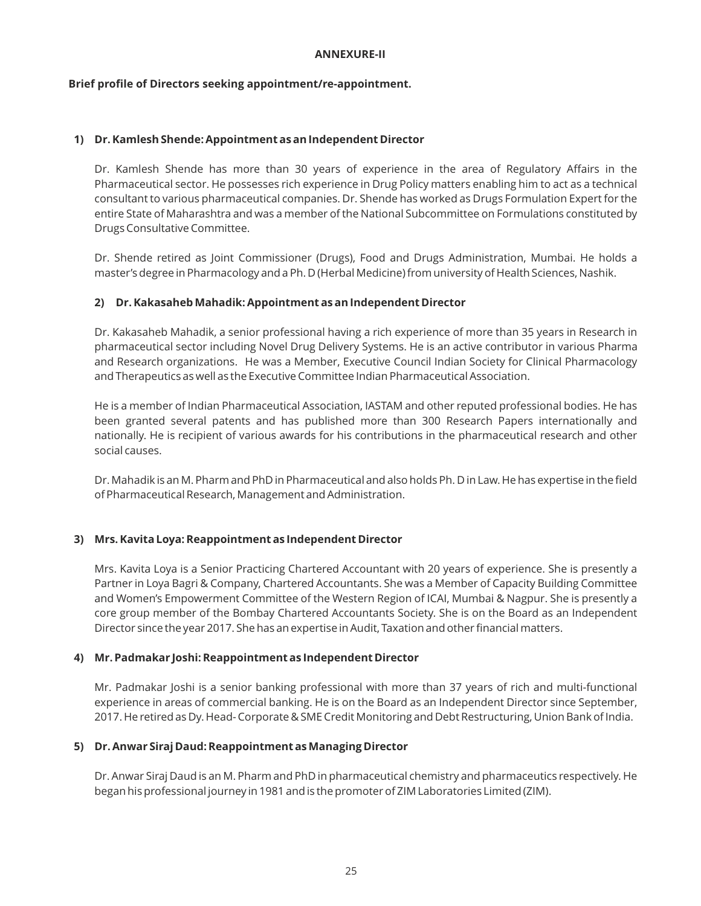#### **ANNEXURE-II**

#### **Brief profile of Directors seeking appointment/re-appointment.**

#### **1) Dr. Kamlesh Shende: Appointment as an Independent Director**

Dr. Kamlesh Shende has more than 30 years of experience in the area of Regulatory Affairs in the Pharmaceutical sector. He possesses rich experience in Drug Policy matters enabling him to act as a technical consultant to various pharmaceutical companies. Dr. Shende has worked as Drugs Formulation Expert for the entire State of Maharashtra and was a member of the National Subcommittee on Formulations constituted by Drugs Consultative Committee.

Dr. Shende retired as Joint Commissioner (Drugs), Food and Drugs Administration, Mumbai. He holds a master's degree in Pharmacology and a Ph. D (Herbal Medicine) from university of Health Sciences, Nashik.

#### **2) Dr. Kakasaheb Mahadik: Appointment as an Independent Director**

Dr. Kakasaheb Mahadik, a senior professional having a rich experience of more than 35 years in Research in pharmaceutical sector including Novel Drug Delivery Systems. He is an active contributor in various Pharma and Research organizations. He was a Member, Executive Council Indian Society for Clinical Pharmacology and Therapeutics as well as the Executive Committee Indian Pharmaceutical Association.

He is a member of Indian Pharmaceutical Association, IASTAM and other reputed professional bodies. He has been granted several patents and has published more than 300 Research Papers internationally and nationally. He is recipient of various awards for his contributions in the pharmaceutical research and other social causes.

Dr. Mahadik is an M. Pharm and PhD in Pharmaceutical and also holds Ph. D in Law. He has expertise in the field of Pharmaceutical Research, Management and Administration.

# **3) Mrs. Kavita Loya: Reappointment as Independent Director**

Mrs. Kavita Loya is a Senior Practicing Chartered Accountant with 20 years of experience. She is presently a Partner in Loya Bagri & Company, Chartered Accountants. She was a Member of Capacity Building Committee and Women's Empowerment Committee of the Western Region of ICAI, Mumbai & Nagpur. She is presently a core group member of the Bombay Chartered Accountants Society. She is on the Board as an Independent Director since the year 2017. She has an expertise in Audit, Taxation and other financial matters.

#### **4) Mr. Padmakar Joshi: Reappointment as Independent Director**

Mr. Padmakar Joshi is a senior banking professional with more than 37 years of rich and multi-functional experience in areas of commercial banking. He is on the Board as an Independent Director since September, 2017. He retired as Dy. Head- Corporate & SME Credit Monitoring and Debt Restructuring, Union Bank of India.

#### **5) Dr. Anwar Siraj Daud: Reappointment as Managing Director**

Dr. Anwar Siraj Daud is an M. Pharm and PhD in pharmaceutical chemistry and pharmaceutics respectively. He began his professional journey in 1981 and is the promoter of ZIM Laboratories Limited (ZIM).